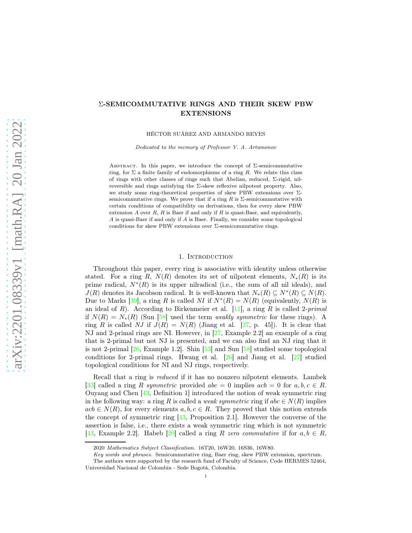# Σ-SEMICOMMUTATIVE RINGS AND THEIR SKEW PBW EXTENSIONS

HÉCTOR SUÁREZ AND ARMANDO REYES

Dedicated to the memory of Professor V. A. Artamonov

ABSTRACT. In this paper, we introduce the concept of  $\Sigma$ -semicommutative ring, for  $\Sigma$  a finite family of endomorphisms of a ring R. We relate this class of rings with other classes of rings such that Abelian, reduced, Σ-rigid, nilreversible and rings satisfying the  $\Sigma$ -skew reflexive nilpotent property. Also, we study some ring-theoretical properties of skew PBW extensions over Σsemicommutative rings. We prove that if a ring R is  $\Sigma$ -semicommutative with certain conditions of compatibility on derivations, then for every skew PBW extension A over  $R$ ,  $R$  is Baer if and only if  $R$  is quasi-Baer, and equivalently, A is quasi-Baer if and only if A is Baer. Finally, we consider some topological conditions for skew PBW extensions over  $\Sigma$ -semicommutative rings.

### 1. Introduction

Throughout this paper, every ring is associative with identity unless otherwise stated. For a ring R,  $N(R)$  denotes its set of nilpotent elements,  $N_*(R)$  is its prime radical,  $N^*(R)$  is its upper nilradical (i.e., the sum of all nil ideals), and  $J(R)$  denotes its Jacobson radical. It is well-known that  $N_*(R) \subseteq N^*(R) \subseteq N(R)$ . Due to Marks [\[39\]](#page-18-0), a ring R is called *NI* if  $N^*(R) = N(R)$  (equivalently,  $N(R)$  is an ideal of R). According to Birkenmeier et al. [\[11\]](#page-18-1), a ring R is called 2-*primal* if  $N(R) = N_*(R)$  (Sun [\[58\]](#page-19-0) used the term *weakly symmetric* for these rings). A ring R is called NJ if  $J(R) = N(R)$  (Jiang et al. [\[27,](#page-18-2) p. 45]). It is clear that NJ and 2-primal rings are NI. However, in [\[27,](#page-18-2) Example 2.2] an example of a ring that is 2-primal but not NJ is presented, and we can also find an NJ ring that it is not 2-primal  $[26, \text{Example 1.2}]$ . Shin  $[53]$  and Sun  $[58]$  studied some topological conditions for 2-primal rings. Hwang et al. [\[26\]](#page-18-3) and Jiang et al. [\[27\]](#page-18-2) studied topological conditions for NI and NJ rings, respectively.

Recall that a ring is *reduced* if it has no nonzero nilpotent elements. Lambek [\[33\]](#page-18-4) called a ring R *symmetric* provided  $abc = 0$  implies  $acb = 0$  for  $a, b, c \in R$ . Ouyang and Chen [\[43,](#page-19-2) Definition 1] introduced the notion of weak symmetric ring in the following way: a ring R is called a *weak symmetric* ring if  $abc \in N(R)$  implies  $acb \in N(R)$ , for every elements  $a, b, c \in R$ . They proved that this notion extends the concept of symmetric ring [\[43,](#page-19-2) Proposition 2.1]. However the converse of the assertion is false, i.e., there exists a weak symmetric ring which is not symmetric [\[43,](#page-19-2) Example 2.2]. Habeb [\[20\]](#page-18-5) called a ring R *zero commutative* if for  $a, b \in R$ ,

<sup>2020</sup> Mathematics Subject Classification. 16T20, 16W20, 16S36, 16W80.

Key words and phrases. Semicommutative ring, Baer ring, skew PBW extension, spectrum.

The authors were supported by the research fund of Faculty of Science, Code HERMES 52464, Universidad Nacional de Colombia - Sede Bogotá, Colombia.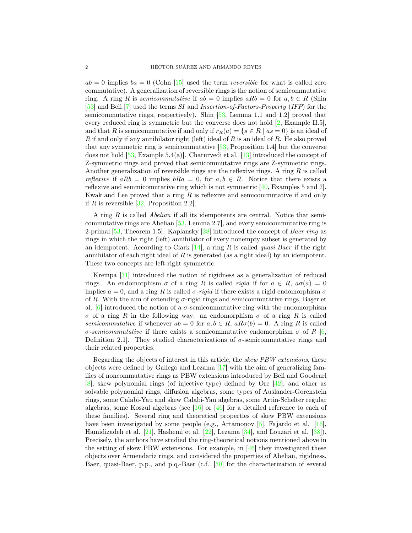$ab = 0$  implies  $ba = 0$  (Cohn [\[15\]](#page-18-6) used the term *reversible* for what is called zero commutative). A generalization of reversible rings is the notion of semicommutative ring. A ring R is *semicommutative* if  $ab = 0$  implies  $aRb = 0$  for  $a, b \in R$  (Shin [\[53\]](#page-19-1) and Bell [\[7\]](#page-17-0) used the terms *SI* and *Insertion-of-Factors-Property* (*IFP*) for the semicommutative rings, respectively). Shin [\[53,](#page-19-1) Lemma 1.1 and 1.2] proved that every reduced ring is symmetric but the converse does not hold [\[2,](#page-17-1) Example II.5], and that R is semicommutative if and only if  $r_R(a) = \{s \in R \mid as = 0\}$  is an ideal of R if and only if any annihilator right (left) ideal of R is an ideal of R. He also proved that any symmetric ring is semicommutative [\[53,](#page-19-1) Proposition 1.4] but the converse does not hold  $[53, Example 5.4(a)]$ . Chaturvedi et al.  $[13]$  introduced the concept of Z-symmetric rings and proved that semicommutative rings are Z-symmetric rings. Another generalization of reversible rings are the reflexive rings. A ring  $R$  is called *reflexive* if  $aRb = 0$  implies  $bRa = 0$ , for  $a, b \in R$ . Notice that there exists a reflexive and semmicomutative ring which is not symmetric [\[40,](#page-18-8) Examples 5 and 7]. Kwak and Lee proved that a ring  $R$  is reflexive and semicommutative if and only if R is reversible  $[32,$  Proposition 2.2].

A ring R is called *Abelian* if all its idempotents are central. Notice that semicommutative rings are Abelian [\[53,](#page-19-1) Lemma 2.7], and every semicommutative ring is 2-primal [\[53,](#page-19-1) Theorem 1.5]. Kaplansky [\[28\]](#page-18-10) introduced the concept of *Baer ring* as rings in which the right (left) annihilator of every nonempty subset is generated by an idempotent. According to Clark [\[14\]](#page-18-11), a ring R is called *quasi-Baer* if the right annihilator of each right ideal of  $R$  is generated (as a right ideal) by an idempotent. These two concepts are left-right symmetric.

Krempa [\[31\]](#page-18-12) introduced the notion of rigidness as a generalization of reduced rings. An endomorphism  $\sigma$  of a ring R is called *rigid* if for  $a \in R$ ,  $a\sigma(a) = 0$ implies  $a = 0$ , and a ring R is called  $\sigma$ -rigid if there exists a rigid endomorphism  $\sigma$ of R. With the aim of extending  $\sigma$ -rigid rings and semicommutative rings, Başer et al.  $[6]$  introduced the notion of a  $\sigma$ -semicommutative ring with the endomorphism σ of a ring R in the following way: an endomorphism σ of a ring R is called *semicommutative* if whenever  $ab = 0$  for  $a, b \in R$ ,  $aR\sigma(b) = 0$ . A ring R is called  $\sigma$ -semicommutative if there exists a semicommutative endomorphism  $\sigma$  of R [\[6,](#page-17-2) Definition 2.1. They studied characterizations of  $\sigma$ -semicommutative rings and their related properties.

Regarding the objects of interest in this article, the *skew PBW extensions*, these objects were defined by Gallego and Lezama [\[17\]](#page-18-13) with the aim of generalizing families of noncommutative rings as PBW extensions introduced by Bell and Goodearl [\[8\]](#page-17-3), skew polynomial rings (of injective type) defined by Ore [\[42\]](#page-18-14), and other as solvable polynomial rings, diffusion algebras, some types of Auslander-Gorenstein rings, some Calabi-Yau and skew Calabi-Yau algebras, some Artin-Schelter regular algebras, some Koszul algebras (see [\[16\]](#page-18-15) or [\[46\]](#page-19-3) for a detailed reference to each of these families). Several ring and theoretical properties of skew PBW extensions have been investigated by some people (e.g., Artamonov [\[5\]](#page-17-4), Fajardo et al. [\[16\]](#page-18-15), Hamidizadeh et al. [\[21\]](#page-18-16), Hashemi et al. [\[22\]](#page-18-17), Lezama [\[34\]](#page-18-18), and Louzari et al. [\[38\]](#page-18-19)). Precisely, the authors have studied the ring-theoretical notions mentioned above in the setting of skew PBW extensions. For example, in [\[46\]](#page-19-3) they investigated these objects over Armendariz rings, and considered the properties of Abelian, rigidness, Baer, quasi-Baer, p.p., and p.q.-Baer (c.f. [\[50\]](#page-19-4) for the characterization of several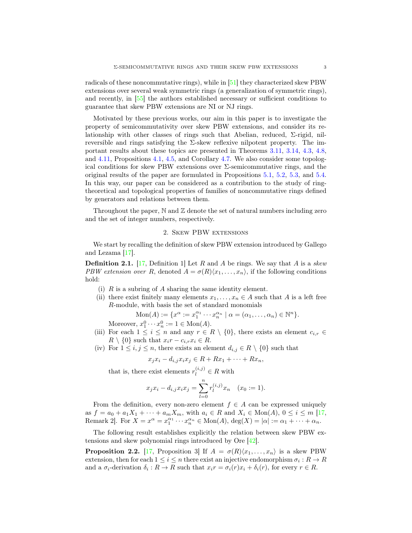radicals of these noncommutative rings), while in [\[51\]](#page-19-5) they characterized skew PBW extensions over several weak symmetric rings (a generalization of symmetric rings), and recently, in [\[55\]](#page-19-6) the authors established necessary or sufficient conditions to guarantee that skew PBW extensions are NI or NJ rings.

Motivated by these previous works, our aim in this paper is to investigate the property of semicommutativity over skew PBW extensions, and consider its relationship with other classes of rings such that Abelian, reduced,  $\Sigma$ -rigid, nilreversible and rings satisfying the  $\Sigma$ -skew reflexive nilpotent property. The important results about these topics are presented in Theorems [3.11,](#page-8-0) [3.14,](#page-9-0) [4.3,](#page-10-0) [4.8,](#page-12-0) and [4.11,](#page-14-0) Propositions [4.1,](#page-9-1) [4.5,](#page-11-0) and Corollary [4.7.](#page-12-1) We also consider some topological conditions for skew PBW extensions over  $\Sigma$ -semicommutative rings, and the original results of the paper are formulated in Propositions [5.1,](#page-15-0) [5.2,](#page-15-1) [5.3,](#page-16-0) and [5.4.](#page-16-1) In this way, our paper can be considered as a contribution to the study of ringtheoretical and topological properties of families of noncommutative rings defined by generators and relations between them.

Throughout the paper,  $\mathbb N$  and  $\mathbb Z$  denote the set of natural numbers including zero and the set of integer numbers, respectively.

### 2. Skew PBW extensions

We start by recalling the definition of skew PBW extension introduced by Gallego and Lezama [\[17\]](#page-18-13).

<span id="page-2-1"></span>Definition 2.1. [\[17,](#page-18-13) Definition 1] Let R and A be rings. We say that A is a *skew PBW extension over* R, denoted  $A = \sigma(R)\langle x_1, \ldots, x_n \rangle$ , if the following conditions hold:

- (i)  $R$  is a subring of  $A$  sharing the same identity element.
- (ii) there exist finitely many elements  $x_1, \ldots, x_n \in A$  such that A is a left free R-module, with basis the set of standard monomials

$$
\text{Mon}(A) := \{ x^{\alpha} := x_1^{\alpha_1} \cdots x_n^{\alpha_n} \mid \alpha = (\alpha_1, \ldots, \alpha_n) \in \mathbb{N}^n \}.
$$

Moreover,  $x_1^0 \cdots x_n^0 := 1 \in \text{Mon}(A)$ .

- (iii) For each  $1 \leq i \leq n$  and any  $r \in R \setminus \{0\}$ , there exists an element  $c_{i,r} \in$  $R \setminus \{0\}$  such that  $x_i r - c_{i,r} x_i \in R$ .
- (iv) For  $1 \le i, j \le n$ , there exists an element  $d_{i,j} \in R \setminus \{0\}$  such that

$$
x_j x_i - d_{i,j} x_i x_j \in R + Rx_1 + \dots + Rx_n,
$$

that is, there exist elements  $r_l^{(i,j)} \in R$  with

$$
x_j x_i - d_{i,j} x_i x_j = \sum_{l=0}^n r_l^{(i,j)} x_n \quad (x_0 := 1).
$$

From the definition, every non-zero element  $f \in A$  can be expressed uniquely as  $f = a_0 + a_1X_1 + \cdots + a_mX_m$ , with  $a_i \in R$  and  $X_i \in \text{Mon}(A)$ ,  $0 \le i \le m$  [\[17,](#page-18-13) Remark 2]. For  $X = x^{\alpha} = x_1^{\alpha_1} \cdots x_n^{\alpha_n} \in \text{Mon}(A), \text{deg}(X) = |\alpha| := \alpha_1 + \cdots + \alpha_n$ .

The following result establishes explicitly the relation between skew PBW extensions and skew polynomial rings introduced by Ore [\[42\]](#page-18-14).

<span id="page-2-0"></span>**Proposition 2.2.** [\[17,](#page-18-13) Proposition 3] If  $A = \sigma(R)(x_1, \ldots, x_n)$  is a skew PBW extension, then for each  $1 \leq i \leq n$  there exist an injective endomorphism  $\sigma_i : R \to R$ and a  $\sigma_i$ -derivation  $\delta_i: R \to R$  such that  $x_i r = \sigma_i(r)x_i + \delta_i(r)$ , for every  $r \in R$ .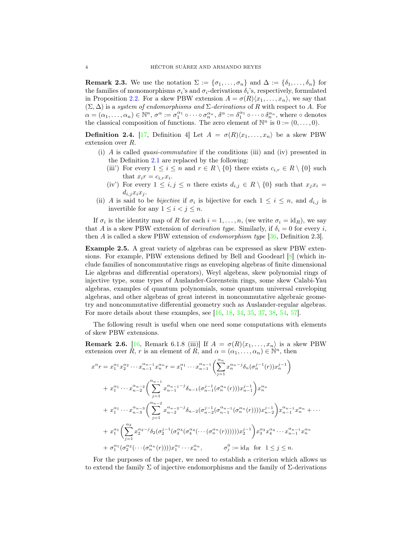<span id="page-3-0"></span>**Remark 2.3.** We use the notation  $\Sigma := {\sigma_1, \ldots, \sigma_n}$  and  $\Delta := {\delta_1, \ldots, \delta_n}$  for the families of monomorphisms  $\sigma_i$ 's and  $\sigma_i$ -derivations  $\delta_i$ 's, respectively, formulated in Proposition [2.2.](#page-2-0) For a skew PBW extension  $A = \sigma(R)(x_1, \ldots, x_n)$ , we say that (Σ, ∆) is a *system of endomorphisms and* Σ*-derivations* of R with respect to A. For  $\alpha = (\alpha_1, \ldots, \alpha_n) \in \mathbb{N}^n$ ,  $\sigma^{\alpha} := \sigma_1^{\alpha_1} \circ \cdots \circ \sigma_n^{\alpha_n}$ ,  $\delta^{\alpha} := \delta_1^{\alpha_1} \circ \cdots \circ \delta_n^{\alpha_n}$ , where  $\circ$  denotes the classical composition of functions. The zero element of  $\mathbb{N}^n$  is  $0 := (0, \ldots, 0)$ .

**Definition 2.4.** [\[17,](#page-18-13) Definition 4] Let  $A = \sigma(R)(x_1, \ldots, x_n)$  be a skew PBW extension over R.

- (i) A is called *quasi-commutative* if the conditions (iii) and (iv) presented in the Definition [2.1](#page-2-1) are replaced by the following:
	- (iii') For every  $1 \leq i \leq n$  and  $r \in R \setminus \{0\}$  there exists  $c_{i,r} \in R \setminus \{0\}$  such that  $x_i r = c_{i,r} x_i$ .
	- (iv') For every  $1 \leq i, j \leq n$  there exists  $d_{i,j} \in R \setminus \{0\}$  such that  $x_j x_i =$  $d_{i,j}x_ix_j$ .
- (ii) A is said to be *bijective* if  $\sigma_i$  is bijective for each  $1 \leq i \leq n$ , and  $d_{i,j}$  is invertible for any  $1 \leq i < j \leq n$ .

If  $\sigma_i$  is the identity map of R for each  $i = 1, \ldots, n$ , (we write  $\sigma_i = id_R$ ), we say that A is a skew PBW extension of *derivation type*. Similarly, if  $\delta_i = 0$  for every i, then A is called a skew PBW extension of *endomorphism type* [\[36,](#page-18-20) Definition 2.3].

Example 2.5. A great variety of algebras can be expressed as skew PBW extensions. For example, PBW extensions defined by Bell and Goodearl  $[8]$  (which include families of noncommutative rings as enveloping algebras of finite dimensional Lie algebras and differential operators), Weyl algebras, skew polynomial rings of injective type, some types of Auslander-Gorenstein rings, some skew Calabi-Yau algebras, examples of quantum polynomials, some quantum universal enveloping algebras, and other algebras of great interest in noncommutative algebraic geometry and noncommutative differential geometry such as Auslander-regular algebras. For more details about these examples, see [\[16,](#page-18-15) [18,](#page-18-21) [34,](#page-18-18) [35,](#page-18-22) [37,](#page-18-23) [38,](#page-18-19) [54,](#page-19-7) [57\]](#page-19-8).

The following result is useful when one need some computations with elements of skew PBW extensions.

<span id="page-3-1"></span>**Remark 2.6.** [\[16,](#page-18-15) Remark 6.1.8 (iii)] If  $A = \sigma(R)(x_1, \ldots, x_n)$  is a skew PBW extension over  $\tilde{R}$ , r is an element of  $\tilde{R}$ , and  $\alpha = (\alpha_1, \ldots, \alpha_n) \in \mathbb{N}^n$ , then

$$
x^{\alpha}r = x_1^{\alpha_1} x_2^{\alpha_2} \cdots x_{n-1}^{\alpha_{n-1}} x_n^{\alpha_n} r = x_1^{\alpha_1} \cdots x_{n-1}^{\alpha_{n-1}} \left( \sum_{j=1}^{\alpha_n} x_n^{\alpha_{n-j}} \delta_n (\sigma_n^{j-1}(r)) x_n^{j-1} \right)
$$
  
+ 
$$
x_1^{\alpha_1} \cdots x_{n-2}^{\alpha_{n-2}} \left( \sum_{j=1}^{\alpha_{n-1}} x_{n-1}^{\alpha_{n-1-j}} \delta_{n-1} (\sigma_{n-1}^{j-1} (\sigma_n^{\alpha_n}(r))) x_{n-1}^{j-1} \right) x_n^{\alpha_n}
$$
  
+ 
$$
x_1^{\alpha_1} \cdots x_{n-3}^{\alpha_{n-3}} \left( \sum_{j=1}^{\alpha_{n-2}} x_{n-2}^{\alpha_{n-2}-j} \delta_{n-2} (\sigma_{n-2}^{j-1} (\sigma_n^{\alpha_{n-1}} (\sigma_n^{\alpha_n}(r)))) x_{n-2}^{j-1} \right) x_{n-1}^{\alpha_{n-1}} x_n^{\alpha_n} + \cdots + x_1^{\alpha_1} \left( \sum_{j=1}^{\alpha_2} x_2^{\alpha_2-j} \delta_2 (\sigma_2^{j-1} (\sigma_3^{\alpha_3} (\sigma_4^{\alpha_4} (\cdots (\sigma_n^{\alpha_n}(r)))))) x_2^{j-1} \right) x_3^{\alpha_3} x_4^{\alpha_4} \cdots x_{n-1}^{\alpha_{n-1}} x_n^{\alpha_n} + \sigma_1^{\alpha_1} (\sigma_2^{\alpha_2} (\cdots (\sigma_n^{\alpha_n}(r)))) x_1^{\alpha_1} \cdots x_n^{\alpha_n}, \qquad \sigma_j^0 := id_R \text{ for } 1 \leq j \leq n.
$$

For the purposes of the paper, we need to establish a criterion which allows us to extend the family  $\Sigma$  of injective endomorphisms and the family of  $\Sigma$ -derivations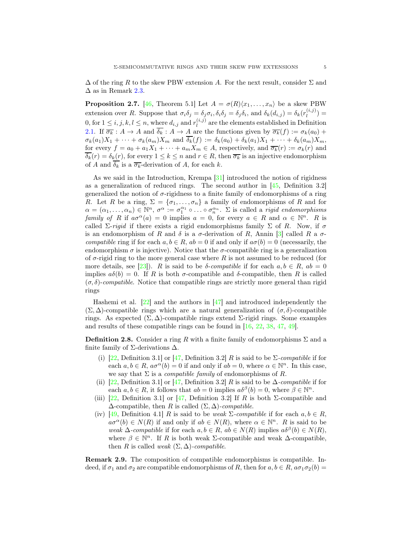$\Delta$  of the ring R to the skew PBW extension A. For the next result, consider  $\Sigma$  and  $\Delta$  as in Remark [2.3.](#page-3-0)

<span id="page-4-1"></span>**Proposition 2.7.** [\[46,](#page-19-3) Theorem 5.1] Let  $A = \sigma(R)(x_1, \ldots, x_n)$  be a skew PBW extension over R. Suppose that  $\sigma_i \delta_j = \delta_j \sigma_i$ ,  $\delta_i \delta_j = \delta_j \delta_i$ , and  $\delta_k(d_{i,j}) = \delta_k(r_i^{(i,j)})$  $\binom{I^{(i,j)}}{l}$  = 0, for  $1 \leq i, j, k, l \leq n$ , where  $d_{i,j}$  and  $r_l^{(i,j)}$  $\binom{[i,j]}{l}$  are the elements established in Definition [2.1.](#page-2-1) If  $\overline{\sigma_k}$  :  $A \to A$  and  $\overline{\delta_k}$  :  $A \to A$  are the functions given by  $\overline{\sigma_k}(f) := \sigma_k(a_0) +$  $\sigma_k(a_1)X_1 + \cdots + \sigma_k(a_m)X_m$  and  $\overline{\delta_k}(f) := \delta_k(a_0) + \delta_k(a_1)X_1 + \cdots + \delta_k(a_m)X_m$ , for every  $f = a_0 + a_1X_1 + \cdots + a_mX_m \in A$ , respectively, and  $\overline{\sigma_k}(r) := \sigma_k(r)$  and  $\overline{\delta_k}(r) = \delta_k(r)$ , for every  $1 \leq k \leq n$  and  $r \in R$ , then  $\overline{\sigma_k}$  is an injective endomorphism of A and  $\overline{\delta_k}$  is a  $\overline{\sigma_k}$ -derivation of A, for each k.

As we said in the Introduction, Krempa [\[31\]](#page-18-12) introduced the notion of rigidness as a generalization of reduced rings. The second author in [\[45,](#page-19-9) Definition 3.2] generalized the notion of  $\sigma$ -rigidness to a finite family of endomorphisms of a ring R. Let R be a ring,  $\Sigma = {\sigma_1, \ldots, \sigma_n}$  a family of endomorphisms of R and for  $\alpha = (\alpha_1, \ldots, \alpha_n) \in \mathbb{N}^n$ ,  $\sigma^{\alpha} := \sigma_1^{\alpha_1} \circ \ldots \circ \sigma_n^{\alpha_n}$ .  $\Sigma$  is called a *rigid endomorphisms family of* R if  $a\sigma^{\alpha}(a) = 0$  implies  $a = 0$ , for every  $a \in R$  and  $\alpha \in \mathbb{N}^n$ . R is called  $\Sigma$ -*rigid* if there exists a rigid endomorphisms family  $\Sigma$  of R. Now, if  $\sigma$ is an endomorphism of R and  $\delta$  is a  $\sigma$ -derivation of R, Annin [\[3\]](#page-17-5) called R a  $\sigma$ *compatible* ring if for each  $a, b \in R$ ,  $ab = 0$  if and only if  $a\sigma(b) = 0$  (necessarily, the endomorphism  $\sigma$  is injective). Notice that the  $\sigma$ -compatible ring is a generalization of  $\sigma$ -rigid ring to the more general case where R is not assumed to be reduced (for more details, see [\[23\]](#page-18-24)). R is said to be  $\delta$ -*compatible* if for each  $a, b \in R$ ,  $ab = 0$ implies  $a\delta(b) = 0$ . If R is both  $\sigma$ -compatible and  $\delta$ -compatible, then R is called  $(\sigma, \delta)$ -*compatible*. Notice that compatible rings are strictly more general than rigid rings

Hashemi et al.  $\left[\frac{22}{3}\right]$  and the authors in  $\left[\frac{47}{3}\right]$  and introduced independently the  $(\Sigma, \Delta)$ -compatible rings which are a natural generalization of  $(\sigma, \delta)$ -compatible rings. As expected  $(\Sigma, \Delta)$ -compatible rings extend  $\Sigma$ -rigid rings. Some examples and results of these compatible rings can be found in [\[16,](#page-18-15) [22,](#page-18-17) [38,](#page-18-19) [47,](#page-19-10) [49\]](#page-19-11).

**Definition 2.8.** Consider a ring R with a finite family of endomorphisms  $\Sigma$  and a finite family of  $\Sigma$ -derivations  $\Delta$ .

- (i)  $[22,$  Definition 3.1 or  $[47,$  Definition 3.2 R is said to be  $\Sigma$ -*compatible* if for each  $a, b \in R$ ,  $a\sigma^{\alpha}(b) = 0$  if and only if  $ab = 0$ , where  $\alpha \in \mathbb{N}^n$ . In this case, we say that  $\Sigma$  is a *compatible family* of endomorphisms of R.
- (ii) [\[22,](#page-18-17) Definition 3.1] or [\[47,](#page-19-10) Definition 3.2] R is said to be  $\Delta$ -*compatible* if for each  $a, b \in R$ , it follows that  $ab = 0$  implies  $a\delta^{\beta}(b) = 0$ , where  $\beta \in \mathbb{N}^{n}$ .
- (iii) [\[22,](#page-18-17) Definition 3.1] or [\[47,](#page-19-10) Definition 3.2] If R is both  $\Sigma$ -compatible and  $\Delta$ -compatible, then R is called  $(\Sigma, \Delta)$ *-compatible.*
- (iv) [\[49,](#page-19-11) Definition 4.1] R is said to be *weak*  $\Sigma$ -compatible if for each  $a, b \in R$ ,  $a\sigma^{\alpha}(b) \in N(R)$  if and only if  $ab \in N(R)$ , where  $\alpha \in \mathbb{N}^n$ . R is said to be *weak*  $\Delta$ -*compatible* if for each  $a, b \in R$ ,  $ab \in N(R)$  implies  $a\delta^{\beta}(b) \in N(R)$ , where  $\beta \in \mathbb{N}^n$ . If R is both weak ∑-compatible and weak  $\Delta$ -compatible, then R is called *weak*  $(\Sigma, \Delta)$ *-compatible.*

<span id="page-4-0"></span>Remark 2.9. The composition of compatible endomorphisms is compatible. Indeed, if  $\sigma_1$  and  $\sigma_2$  are compatible endomorphisms of R, then for  $a, b \in R$ ,  $a\sigma_1\sigma_2(b)$  =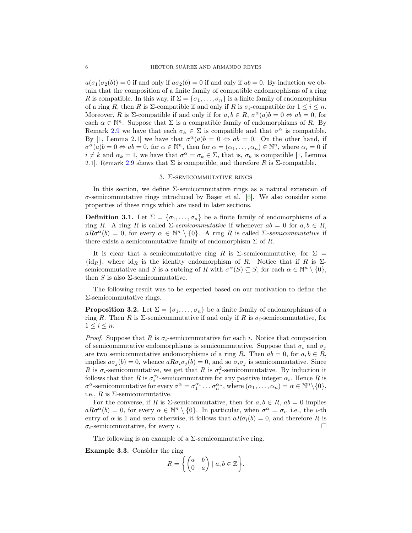$a(\sigma_1(\sigma_2(b)) = 0$  if and only if  $a\sigma_2(b) = 0$  if and only if  $ab = 0$ . By induction we obtain that the composition of a finite family of compatible endomorphisms of a ring R is compatible. In this way, if  $\Sigma = \{\sigma_1, \ldots, \sigma_n\}$  is a finite family of endomorphism of a ring R, then R is  $\Sigma$ -compatible if and only if R is  $\sigma_i$ -compatible for  $1 \leq i \leq n$ . Moreover, R is  $\Sigma$ -compatible if and only if for  $a, b \in R$ ,  $\sigma^{\alpha}(a)b = 0 \Leftrightarrow ab = 0$ , for each  $\alpha \in \mathbb{N}^n$ . Suppose that  $\Sigma$  is a compatible family of endomorphisms of R. By Remark [2.9](#page-4-0) we have that each  $\sigma_k \in \Sigma$  is compatible and that  $\sigma^{\alpha}$  is compatible. By [\[1,](#page-17-6) Lemma 2.1] we have that  $\sigma^{\alpha}(a)b = 0 \Leftrightarrow ab = 0$ . On the other hand, if  $\sigma^{\alpha}(a)b = 0 \Leftrightarrow ab = 0$ , for  $\alpha \in \mathbb{N}^n$ , then for  $\alpha = (\alpha_1, \ldots, \alpha_n) \in \mathbb{N}^n$ , where  $\alpha_i = 0$  if  $i \neq k$  and  $\alpha_k = 1$ , we have that  $\sigma^{\alpha} = \sigma_k \in \Sigma$ , that is,  $\sigma_k$  is compatible [\[1,](#page-17-6) Lemma 2.1]. Remark [2.9](#page-4-0) shows that  $\Sigma$  is compatible, and therefore R is  $\Sigma$ -compatible.

# 3. Σ-semicommutative rings

In this section, we define  $\Sigma$ -semicommutative rings as a natural extension of  $\sigma$ -semicommutative rings introduced by Baser et al. [\[6\]](#page-17-2). We also consider some properties of these rings which are used in later sections.

**Definition 3.1.** Let  $\Sigma = {\sigma_1, \ldots, \sigma_n}$  be a finite family of endomorphisms of a ring R. A ring R is called  $\Sigma$ -*semicommutative* if whenever  $ab = 0$  for  $a, b \in R$ ,  $a R \sigma^{\alpha}(b) = 0$ , for every  $\alpha \in \mathbb{N}^n \setminus \{0\}$ . A ring R is called  $\Sigma$ -semicommutative if there exists a semicommutative family of endomorphism  $\Sigma$  of R.

It is clear that a semicommutative ring R is  $\Sigma$ -semicommutative, for  $\Sigma =$  $\{id_R\}$ , where  $id_R$  is the identity endomorphism of R. Notice that if R is  $\Sigma$ semicommutative and S is a subring of R with  $\sigma^{\alpha}(S) \subseteq S$ , for each  $\alpha \in \mathbb{N}^n \setminus \{0\}$ , then S is also  $\Sigma$ -semicommutative.

The following result was to be expected based on our motivation to define the Σ-semicommutative rings.

<span id="page-5-0"></span>**Proposition 3.2.** Let  $\Sigma = {\sigma_1, \ldots, \sigma_n}$  be a finite family of endomorphisms of a ring R. Then R is  $\Sigma$ -semicommutative if and only if R is  $\sigma_i$ -semicommutative, for  $1 \leq i \leq n$ .

*Proof.* Suppose that R is  $\sigma_i$ -semicommutative for each i. Notice that composition of semicommutative endomorphisms is semicommutative. Suppose that  $\sigma_i$  and  $\sigma_j$ are two semicommutative endomorphisms of a ring R. Then  $ab = 0$ , for  $a, b \in R$ , implies  $a\sigma_j(b) = 0$ , whence  $aR\sigma_i\sigma_j(b) = 0$ , and so  $\sigma_i\sigma_j$  is semicommutative. Since R is  $\sigma_i$ -semicommutative, we get that R is  $\sigma_i^2$ -semicommutative. By induction it follows that that R is  $\sigma_i^{\alpha_i}$ -semicommutative for any positive integer  $\alpha_i$ . Hence R is  $\sigma^{\alpha}$ -semicommutative for every  $\sigma^{\alpha} = \sigma_1^{\alpha_1} \dots \sigma_n^{\alpha_n}$ , where  $(\alpha_1, \dots, \alpha_n) = \alpha \in \mathbb{N}^n \setminus \{0\},\$ i.e.,  $R$  is  $\Sigma$ -semicommutative.

For the converse, if R is  $\Sigma$ -semicommutative, then for  $a, b \in R$ ,  $ab = 0$  implies  $a R \sigma^{\alpha}(b) = 0$ , for every  $\alpha \in \mathbb{N}^n \setminus \{0\}$ . In particular, when  $\sigma^{\alpha} = \sigma_i$ , i.e., the *i*-th entry of  $\alpha$  is 1 and zero otherwise, it follows that  $aR\sigma_i(b) = 0$ , and therefore R is  $\sigma_i$ -semicommutative, for every i.

The following is an example of a  $\Sigma$ -semicommutative ring.

<span id="page-5-1"></span>Example 3.3. Consider the ring

$$
R = \left\{ \begin{pmatrix} a & b \\ 0 & a \end{pmatrix} \mid a, b \in \mathbb{Z} \right\}.
$$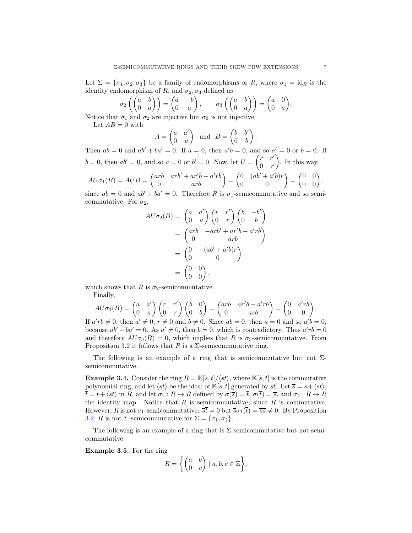Let  $\Sigma = {\sigma_1, \sigma_2, \sigma_3}$  be a family of endomorphisms or R, where  $\sigma_1 = id_R$  is the identity endomorphism of R, and  $\sigma_2, \sigma_3$  defined as

$$
\sigma_2\left(\begin{pmatrix} a & b \\ 0 & a \end{pmatrix}\right) = \begin{pmatrix} a & -b \\ 0 & a \end{pmatrix}, \quad \sigma_3\left(\begin{pmatrix} a & b \\ 0 & a \end{pmatrix}\right) = \begin{pmatrix} a & 0 \\ 0 & a \end{pmatrix}.
$$

Notice that  $\sigma_1$  and  $\sigma_2$  are injective but  $\sigma_3$  is not injective.

Let 
$$
AB = 0
$$
 with  

$$
A = \begin{pmatrix} a & a' \end{pmatrix}
$$

$$
A = \begin{pmatrix} a & a' \\ 0 & a \end{pmatrix} \text{ and } B = \begin{pmatrix} b & b' \\ 0 & b \end{pmatrix}.
$$

Then  $ab = 0$  and  $ab' + ba' = 0$ . If  $a = 0$ , then  $a'b = 0$ , and so  $a' = 0$  or  $b = 0$ . If  $b = 0$ , then  $ab' = 0$ , and so  $a = 0$  or  $b' = 0$ . Now, let  $U = \begin{pmatrix} r & r' \\ 0 & r \end{pmatrix}$  $0 \quad r$  . In this way,  $AU\sigma_1(B) = AUB = \begin{pmatrix} arb & arb' + ar'b + a'rb \\ 0 & arb' \end{pmatrix} = \begin{pmatrix} 0 & (ab' + a'b)r \\ 0 & 0 \end{pmatrix} = \begin{pmatrix} 0 & 0 \\ 0 & 0 \end{pmatrix}$ ,

$$
A \cup \sigma_1(D) = A \cup D = \begin{pmatrix} 0 & arb & r \end{pmatrix} = \begin{pmatrix} 0 & 0 & r \end{pmatrix} = \begin{pmatrix} 0 & 0 & r \end{pmatrix},
$$
\nsince  $ab = 0$  and  $ab' + ba' = 0$ . Therefore  $R$  is  $\sigma_1$ -semicommutative and so semi-

commutative. For  $\sigma_2$ ,

$$
AU\sigma_2(B) = \begin{pmatrix} a & a' \\ 0 & a \end{pmatrix} \begin{pmatrix} r & r' \\ 0 & r \end{pmatrix} \begin{pmatrix} b & -b' \\ 0 & b \end{pmatrix}
$$

$$
= \begin{pmatrix} arb & -arb' + ar'b - a'rb \\ 0 & arb \end{pmatrix}
$$

$$
= \begin{pmatrix} 0 & -(ab' + a'b)r \\ 0 & 0 \end{pmatrix}
$$

$$
= \begin{pmatrix} 0 & 0 \\ 0 & 0 \end{pmatrix},
$$

which shows that R is  $\sigma_2$ -semicommutative.

Finally,

$$
AU\sigma_3(B) = \begin{pmatrix} a & a' \\ 0 & a \end{pmatrix} \begin{pmatrix} r & r' \\ 0 & r \end{pmatrix} \begin{pmatrix} b & 0 \\ 0 & b \end{pmatrix} = \begin{pmatrix} arb & ar'b + a'rb \\ 0 & arb \end{pmatrix} = \begin{pmatrix} 0 & a'rb \\ 0 & 0 \end{pmatrix}.
$$

If  $a'rb \neq 0$ , then  $a' \neq 0$ ,  $r \neq 0$  and  $b \neq 0$ . Since  $ab = 0$ , then  $a = 0$  and so  $a'b = 0$ , because  $ab' + ba' = 0$ . As  $a' \neq 0$ , then  $b = 0$ , which is contradictory. Thus  $a'rb = 0$ and therefore  $A U \sigma_3(B) = 0$ , which implies that R is  $\sigma_3$ -semicommutative. From Proposition [3.2](#page-5-0) it follows that R is a  $\Sigma$ -semicommutative ring.

The following is an example of a ring that is semicommutative but not  $\Sigma$ semicommutative.

<span id="page-6-1"></span>**Example 3.4.** Consider the ring  $R = \mathbb{K}[s, t]/\langle st \rangle$ , where  $\mathbb{K}[s, t]$  is the commutative polynomial ring, and let  $\langle st \rangle$  be the ideal of  $\mathbb{K}[s, t]$  generated by st. Let  $\overline{s} = s + \langle st \rangle$ ,  $\overline{t} = t + \langle st \rangle$  in R, and let  $\sigma_1 : R \to R$  defined by  $\sigma(\overline{s}) = \overline{t}$ ,  $\sigma(\overline{t}) = \overline{s}$ , and  $\sigma_2 : R \to R$ the identity map. Notice that  $R$  is semicommutative, since  $R$  is commutative. However, R is not  $\sigma_1$ -semicommutative:  $\overline{st} = 0$  but  $\overline{s}\sigma_1(\overline{t}) = \overline{s}\overline{s} \neq 0$ . By Proposition [3.2,](#page-5-0) R is not Σ-semicommutative for  $\Sigma = {\sigma_1, \sigma_2}.$ 

The following is an example of a ring that is  $\Sigma$ -semicommutative but not semicommutative.

<span id="page-6-0"></span>Example 3.5. For the ring

$$
R = \left\{ \begin{pmatrix} a & b \\ 0 & c \end{pmatrix} \mid a, b, c \in \mathbb{Z} \right\},\
$$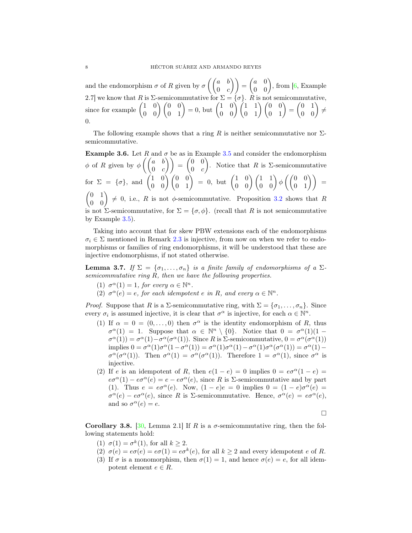and the endomorphism  $\sigma$  of R given by  $\sigma\left(\begin{pmatrix} a & b \\ 0 & a \end{pmatrix}\right)$  $\begin{pmatrix} a & b \ 0 & c \end{pmatrix}$  =  $\begin{pmatrix} a & 0 \ 0 & 0 \end{pmatrix}$ , from [\[6,](#page-17-2) Example 2.7] we know that R is  $\Sigma$ -semicommutative for  $\Sigma = \{\sigma\}$ .  $R$  is not semicommutative, since for example  $\begin{pmatrix} 1 & 0 \\ 0 & 0 \end{pmatrix} \begin{pmatrix} 0 & 0 \\ 0 & 1 \end{pmatrix} = 0$ , but  $\begin{pmatrix} 1 & 0 \\ 0 & 0 \end{pmatrix} \begin{pmatrix} 1 & 1 \\ 0 & 1 \end{pmatrix} \begin{pmatrix} 0 & 0 \\ 0 & 1 \end{pmatrix} = \begin{pmatrix} 0 & 1 \\ 0 & 0 \end{pmatrix} \neq$ 0.

The following example shows that a ring R is neither semicommutative nor  $\Sigma$ semicommutative.

**Example 3.6.** Let R and  $\sigma$  be as in Example [3.5](#page-6-0) and consider the endomorphism  $\phi$  of R given by  $\phi \left( \begin{pmatrix} a & b \\ 0 & a \end{pmatrix} \right)$  $\begin{pmatrix} a & b \ 0 & c \end{pmatrix} = \begin{pmatrix} 0 & 0 \ 0 & c \end{pmatrix}$  $0 \quad c$ ). Notice that R is  $\Sigma$ -semicommutative  ${\rm for}\,\,\,\Sigma\,\,=\,\,\{\sigma\},\,\,{\rm and}\,\,\,\left(\begin{matrix} 1 & 0 \cr 0 & 0 \cr 0 & 0 \cr \end{matrix}\right) \left(\begin{matrix} 0 & 0 \cr 0 & 1 \cr \end{matrix}\right)\,\,=\,\,0,\,\,{\rm but}\,\,\left(\begin{matrix} 1 & 0 \cr 0 & 0 \cr \end{matrix}\right) \left(\begin{matrix} 1 & 1 \cr 0 & 0 \cr \end{matrix}\right) \phi\left(\left(\begin{matrix} 0 & 0 \cr 0 & 1 \cr 0 & 1 \cr \end{matrix}\right)\right)\,\,=\,\,$  $\begin{pmatrix} 0 & 1 \\ 0 & 0 \end{pmatrix} \neq 0$ , i.e., R is not  $\phi$ -semicommutative. Proposition [3.2](#page-5-0) shows that R is not Σ-semicommutative, for  $\Sigma = {\sigma, \phi}$ . (recall that R is not semicommutative by Example [3.5\)](#page-6-0).

Taking into account that for skew PBW extensions each of the endomorphisms  $\sigma_i \in \Sigma$  mentioned in Remark [2.3](#page-3-0) is injective, from now on when we refer to endomorphisms or families of ring endomorphisms, it will be understood that these are injective endomorphisms, if not stated otherwise.

<span id="page-7-0"></span>**Lemma 3.7.** *If*  $\Sigma = {\sigma_1, \ldots, \sigma_n}$  *is a finite family of endomorphisms of a*  $\Sigma$ *semicommutative ring* R*, then we have the following properties.*

- (1)  $\sigma^{\alpha}(1) = 1$ , for every  $\alpha \in \mathbb{N}^n$ .
- (2)  $\sigma^{\alpha}(e) = e$ , for each idempotent *e* in *R*, and every  $\alpha \in \mathbb{N}^n$ .

*Proof.* Suppose that R is a  $\Sigma$ -semicommutative ring, with  $\Sigma = {\sigma_1, \ldots, \sigma_n}$ . Since every  $\sigma_i$  is assumed injective, it is clear that  $\sigma^{\alpha}$  is injective, for each  $\alpha \in \mathbb{N}^n$ .

- (1) If  $\alpha = 0 = (0, \ldots, 0)$  then  $\sigma^{\alpha}$  is the identity endomorphism of R, thus  $\sigma^{\alpha}(1) = 1$ . Suppose that  $\alpha \in \mathbb{N}^{n} \setminus \{0\}$ . Notice that  $0 = \sigma^{\alpha}(1)(1 \sigma^{\alpha}(1) = \sigma^{\alpha}(1) - \sigma^{\alpha}(\sigma^{\alpha}(1))$ . Since R is Σ-semicommutative,  $0 = \sigma^{\alpha}(\sigma^{\alpha}(1))$ implies  $0 = \sigma^{\alpha}(1)\sigma^{\alpha}(1-\sigma^{\alpha}(1)) = \sigma^{\alpha}(1)\sigma^{\alpha}(1)-\sigma^{\alpha}(1)\sigma^{\alpha}(\sigma^{\alpha}(1)) = \sigma^{\alpha}(1) \sigma^{\alpha}(\sigma^{\alpha}(1))$ . Then  $\sigma^{\alpha}(1) = \sigma^{\alpha}(\sigma^{\alpha}(1))$ . Therefore  $1 = \sigma^{\alpha}(1)$ , since  $\sigma^{\alpha}$  is injective.
- (2) If e is an idempotent of R, then  $e(1-e) = 0$  implies  $0 = e\sigma^{\alpha}(1-e) = 0$  $e\sigma^{\alpha}(1) - e\sigma^{\alpha}(e) = e - e\sigma^{\alpha}(e)$ , since R is Σ-semicommutative and by part (1). Thus  $e = e\sigma^{\alpha}(e)$ . Now,  $(1 - e)e = 0$  implies  $0 = (1 - e)\sigma^{\alpha}(e) =$  $\sigma^{\alpha}(e) - e\sigma^{\alpha}(e)$ , since R is  $\Sigma$ -semicommutative. Hence,  $\sigma^{\alpha}(e) = e\sigma^{\alpha}(e)$ , and so  $\sigma^{\alpha}(e) = e$ .

 $\Box$ 

Corollary 3.8. [\[30,](#page-18-25) Lemma 2.1] If R is a  $\sigma$ -semicommutative ring, then the following statements hold:

- (1)  $\sigma(1) = \sigma^k(1)$ , for all  $k \geq 2$ .
- (2)  $\sigma(e) = e\sigma(e) = e\sigma(1) = e\sigma^k(e)$ , for all  $k \ge 2$  and every idempotent e of R.
- (3) If  $\sigma$  is a monomorphism, then  $\sigma(1) = 1$ , and hence  $\sigma(e) = e$ , for all idempotent element  $e \in R$ .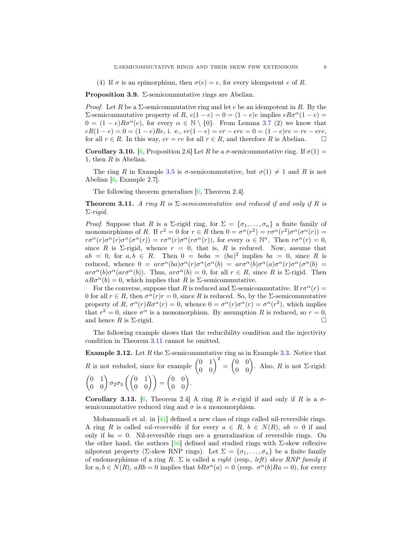(4) If  $\sigma$  is an epimorphism, then  $\sigma(e) = e$ , for every idempotent e of R.

<span id="page-8-1"></span>**Proposition 3.9.**  $\Sigma$ -semicommutative rings are Abelian.

*Proof.* Let R be a  $\Sigma$ -semicommutative ring and let e be an idempotent in R. By the Σ-semicommutative property of R,  $e(1 - e) = 0 = (1 - e)e$  implies  $eRσ^α(1 - e) =$  $0 = (1 - e)R\sigma^{\alpha}(e)$ , for every  $\alpha \in \mathbb{N} \setminus \{0\}$ . From Lemma [3.7](#page-7-0) (2) we know that  $eR(1-e) = 0 = (1-e)Re$ , i. e.,  $er(1-e) = er - ere = 0 = (1-e)re = re - ere$ , for all  $r \in R$ . In this way,  $er = re$  for all  $r \in R$ , and therefore R is Abelian.  $\square$ 

Corollary 3.10. [\[6,](#page-17-2) Proposition 2.6] Let R be a  $\sigma$ -semicommutative ring. If  $\sigma(1)$  = 1, then  $R$  is Abelian.

The ring R in Example [3.5](#page-6-0) is  $\sigma$ -semicommutative, but  $\sigma(1) \neq 1$  and R is not Abelian [\[6,](#page-17-2) Example 2.7].

The following theorem generalizes [\[6,](#page-17-2) Theorem 2.4].

<span id="page-8-0"></span>**Theorem 3.11.** *A ring*  $R$  *is*  $\Sigma$ -semicommutative and reduced if and only if  $R$  *is* Σ*-rigid.*

*Proof.* Suppose that R is a  $\Sigma$ -rigid ring, for  $\Sigma = {\sigma_1, ..., \sigma_n}$  a finite family of monomorphisms of R. If  $r^2 = 0$  for  $r \in R$  then  $0 = \sigma^{\alpha}(r^2) = r\sigma^{\alpha}(r^2)\sigma^{\alpha}(\sigma^{\alpha}(r)) =$  $r\sigma^{\alpha}(r)\sigma^{\alpha}(r)\sigma^{\alpha}(\sigma^{\alpha}(r))=r\sigma^{\alpha}(r)\sigma^{\alpha}(r\sigma^{\alpha}(r))$ , for every  $\alpha \in \mathbb{N}^n$ . Then  $r\sigma^{\alpha}(r)=0$ , since R is  $\Sigma$ -rigid, whence  $r = 0$ , that is, R is reduced. Now, assume that  $ab = 0$ , for  $a, b \in R$ . Then  $0 = baba = (ba)^2$  implies  $ba = 0$ , since R is reduced, whence  $0 = ar\sigma^{\alpha}(ba)\sigma^{\alpha}(r)\sigma^{\alpha}(\sigma^{\alpha}(b)) = ar\sigma^{\alpha}(b)\sigma^{\alpha}(a)\sigma^{\alpha}(r)\sigma^{\alpha}(\sigma^{\alpha}(b)) =$  $ar\sigma^{\alpha}(b)\sigma^{\alpha}(ar\sigma^{\alpha}(b))$ . Thus,  $ar\sigma^{\alpha}(b) = 0$ , for all  $r \in R$ , since R is  $\Sigma$ -rigid. Then  $aR\sigma^{\alpha}(b) = 0$ , which implies that R is  $\Sigma$ -semicommutative.

For the converse, suppose that R is reduced and  $\Sigma$ -semicommutative. If  $r\sigma^{\alpha}(r)$  = 0 for all  $r \in R$ , then  $\sigma^{\alpha}(r)r = 0$ , since R is reduced. So, by the  $\Sigma$ -semicommutative property of R,  $\sigma^{\alpha}(r)R\sigma^{\alpha}(r) = 0$ , whence  $0 = \sigma^{\alpha}(r)\sigma^{\alpha}(r) = \sigma^{\alpha}(r^2)$ , which implies that  $r^2 = 0$ , since  $\sigma^{\alpha}$  is a monomorphism. By assumption R is reduced, so  $r = 0$ , and hence R is  $\Sigma$ -rigid.

The following example shows that the reducibility condition and the injectivity condition in Theorem [3.11](#page-8-0) cannot be omitted.

**Example 3.12.** Let R the  $\Sigma$ -semicommutative ring as in Example [3.3.](#page-5-1) Notice that R is not reduded, since for example  $\begin{pmatrix} 0 & 1 \\ 0 & 0 \end{pmatrix}^2 = \begin{pmatrix} 0 & 0 \\ 0 & 0 \end{pmatrix}$ . Also, R is not  $\Sigma$ -rigid:  $\begin{pmatrix} 0 & 1 \\ 0 & 0 \end{pmatrix} \sigma_2 \sigma_3 \left( \begin{pmatrix} 0 & 1 \\ 0 & 0 \end{pmatrix} \right) = \begin{pmatrix} 0 & 0 \\ 0 & 0 \end{pmatrix}.$ 

Corollary 3.13. [\[6,](#page-17-2) Theorem 2.4] A ring R is  $\sigma$ -rigid if and only if R is a  $\sigma$ semicommutative reduced ring and  $\sigma$  is a monomorphism.

Mohammadi et al. in [\[41\]](#page-18-26) defined a new class of rings called nil-reversible rings. A ring R is called *nil-reversible* if for every  $a \in R$ ,  $b \in N(R)$ ,  $ab = 0$  if and only if  $ba = 0$ . Nil-reversible rings are a generalization of reversible rings. On the other hand, the authors  $[56]$  defined and studied rings with  $\Sigma$ -skew reflexive nilpotent property (Σ-skew RNP rings). Let  $\Sigma = \{\sigma_1, \ldots, \sigma_n\}$  be a finite family of endomorphisms of a ring R. Σ is called a *right* (resp., *left*) *skew RNP family* if for  $a, b \in N(R)$ ,  $aRb = 0$  implies that  $bR\sigma^{\alpha}(a) = 0$  (resp.  $\sigma^{\alpha}(b)Ra = 0$ ), for every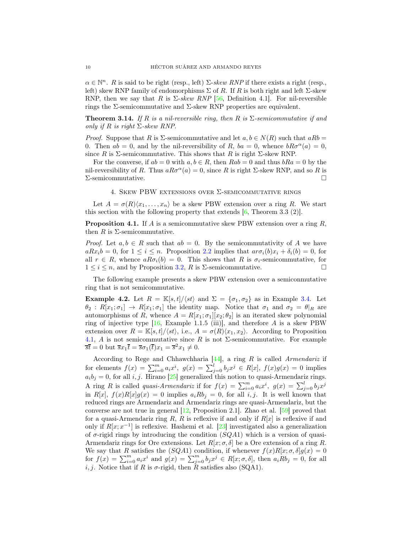$\alpha \in \mathbb{N}^n$ . R is said to be right (resp., left)  $\Sigma$ -skew RNP if there exists a right (resp., left) skew RNP family of endomorphisms  $\Sigma$  of R. If R is both right and left  $\Sigma$ -skew RNP, then we say that R is  $\Sigma$ -skew RNP [\[56,](#page-19-12) Definition 4.1]. For nil-reversible rings the Σ-semicommutative and Σ-skew RNP properties are equivalent.

<span id="page-9-0"></span>**Theorem 3.14.** *If*  $R$  *is a nil-reversible ring, then*  $R$  *is*  $\Sigma$ -semicommutative *if and only if*  $R$  *is right*  $\Sigma$ *-skew RNP.* 

*Proof.* Suppose that R is  $\Sigma$ -semicommutative and let  $a, b \in N(R)$  such that  $aRb =$ 0. Then  $ab = 0$ , and by the nil-reversibility of R,  $ba = 0$ , whence  $bR\sigma^{\alpha}(a) = 0$ , since R is  $\Sigma$ -semicommutative. This shows that R is right  $\Sigma$ -skew RNP.

For the converse, if  $ab = 0$  with  $a, b \in R$ , then  $Rab = 0$  and thus  $bRa = 0$  by the nil-reversibility of R. Thus  $aR\sigma^{\alpha}(a) = 0$ , since R is right Σ-skew RNP, and so R is  $\Sigma$ -semicommutative.  $\square$ 

## 4. Skew PBW extensions over Σ-semicommutative rings

Let  $A = \sigma(R)(x_1, \ldots, x_n)$  be a skew PBW extension over a ring R. We start this section with the following property that extends [\[6,](#page-17-2) Theorem 3.3 (2)].

<span id="page-9-1"></span>**Proposition 4.1.** If A is a semicommutative skew PBW extension over a ring  $R$ , then R is  $\Sigma$ -semicommutative.

*Proof.* Let  $a, b \in R$  such that  $ab = 0$ . By the semicommutativity of A we have  $aRx_i b = 0$ , for  $1 \leq i \leq n$ . Proposition [2.2](#page-2-0) implies that  $a r \sigma_i(b)x_i + \delta_i(b) = 0$ , for all  $r \in R$ , whence  $aR\sigma_i(b) = 0$ . This shows that R is  $\sigma_i$ -semicommutative, for  $1 \leq i \leq n$ , and by Proposition [3.2,](#page-5-0) R is  $\Sigma$ -semicommutative.

The following example presents a skew PBW extension over a semiconmutative ring that is not semicommutative.

<span id="page-9-2"></span>**Example 4.2.** Let  $R = \mathbb{K}[s,t]/\langle st \rangle$  and  $\Sigma = {\sigma_1, \sigma_2}$  as in Example [3.4.](#page-6-1) Let  $\theta_2$ :  $R[x_1;\sigma_1] \rightarrow R[x_1;\sigma_1]$  the identity map. Notice that  $\sigma_1$  and  $\sigma_2 = \theta|_{R}$  are automorphisms of R, whence  $A = R[x_1; \sigma_1][x_2; \theta_2]$  is an iterated skew polynomial ring of injective type  $[16, \text{ Example } 1.1.5 \text{ (iii)}]$ , and therefore A is a skew PBW extension over  $R = \mathbb{K}[s, t]/\langle st \rangle$ , i.e.,  $A = \sigma(R)\langle x_1, x_2 \rangle$ . According to Proposition [4.1,](#page-9-1) A is not semicommutative since R is not  $\Sigma$ -semicommutative. For example  $\overline{s}\overline{t} = 0$  but  $\overline{s}x_1\overline{t} = \overline{s}\sigma_1(\overline{t})x_1 = \overline{s}^2x_1 \neq 0.$ 

According to Rege and Chhawchharia [\[44\]](#page-19-13), a ring R is called *Armendariz* if for elements  $f(x) = \sum_{i=0}^{m} a_i x^i$ ,  $g(x) = \sum_{j=0}^{l} b_j x^j \in R[x]$ ,  $f(x)g(x) = 0$  implies  $a_i b_j = 0$ , for all i, j. Hirano [\[25\]](#page-18-27) generalized this notion to quasi-Armendariz rings. A ring R is called *quasi-Armendariz* if for  $f(x) = \sum_{i=0}^{m} a_i x^i$ ,  $g(x) = \sum_{j=0}^{l} b_j x^j$ in R[x],  $f(x)R[x]g(x) = 0$  implies  $a_i R b_j = 0$ , for all i, j. It is well known that reduced rings are Armendariz and Armendariz rings are quasi-Armendariz, but the converse are not true in general [\[12,](#page-18-28) Proposition 2.1]. Zhao et al. [\[59\]](#page-19-14) proved that for a quasi-Armendariz ring R, R is reflexive if and only if  $R[x]$  is reflexive if and only if  $R[x; x^{-1}]$  is reflexive. Hashemi et al. [\[23\]](#page-18-24) investigated also a generalization of  $\sigma$ -rigid rings by introducing the condition  $(SQA1)$  which is a version of quasi-Armendariz rings for Ore extensions. Let  $R[x; \sigma, \delta]$  be a Ore extension of a ring R. We say that R satisfies the (SQA1) condition, if whenever  $f(x)R[x; \sigma, \delta]g(x) = 0$ for  $f(x) = \sum_{i=0}^{m} a_i x^i$  and  $g(x) = \sum_{j=0}^{m} b_j x^j \in R[x; \sigma, \delta]$ , then  $a_i R b_j = 0$ , for all i, j. Notice that if R is  $\sigma$ -rigid, then R satisfies also (SQA1).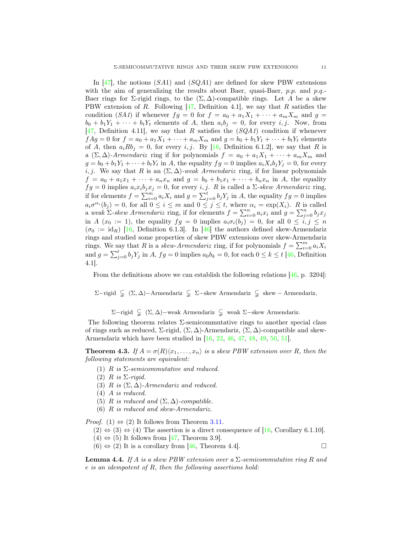In [\[47\]](#page-19-10), the notions  $(SA1)$  and  $(SQA1)$  are defined for skew PBW extensions with the aim of generalizing the results about Baer, quasi-Baer,  $p.p.$  and  $p.q.$ Baer rings for  $\Sigma$ -rigid rings, to the  $(\Sigma, \Delta)$ -compatible rings. Let A be a skew PBW extension of R. Following  $[47,$  Definition 4.1], we say that R satisfies the condition (*SA1*) if whenever  $fg = 0$  for  $f = a_0 + a_1X_1 + \cdots + a_mX_m$  and  $g =$  $b_0 + b_1Y_1 + \cdots + b_tY_t$  elements of A, then  $a_ib_j = 0$ , for every i, j. Now, from [\[47,](#page-19-10) Definition 4.11], we say that R satisfies the (*SQA1*) condition if whenever  $fAg = 0$  for  $f = a_0 + a_1X_1 + \cdots + a_mX_m$  and  $g = b_0 + b_1Y_1 + \cdots + b_tY_t$  elements of A, then  $a_i R b_j = 0$ , for every i, j. By [\[16,](#page-18-15) Definition 6.1.2], we say that R is a  $(\Sigma, \Delta)$ -Armendariz ring if for polynomials  $f = a_0 + a_1X_1 + \cdots + a_mX_m$  and  $g = b_0 + b_1 Y_1 + \cdots + b_t Y_t$  in A, the equality  $fg = 0$  implies  $a_i X_i b_j Y_j = 0$ , for every i, j. We say that R is an  $(\Sigma, \Delta)$ *-weak Armendariz* ring, if for linear polynomials  $f = a_0 + a_1x_1 + \cdots + a_nx_n$  and  $g = b_0 + b_1x_1 + \cdots + b_nx_n$  in A, the equality  $fg = 0$  implies  $a_i x_i b_j x_j = 0$ , for every i, j. R is called a  $\Sigma$ -skew Armendariz ring, if for elements  $f = \sum_{i=0}^{m} a_i X_i$  and  $g = \sum_{j=0}^{t} b_j Y_j$  in A, the equality  $fg = 0$  implies  $a_i \sigma^{\alpha_i}(b_j) = 0$ , for all  $0 \leq i \leq m$  and  $0 \leq j \leq t$ , where  $\alpha_i = \exp(X_i)$ . R is called a weak  $\Sigma$ -skew Armendariz ring, if for elements  $f = \sum_{i=0}^{n} a_i x_i$  and  $g = \sum_{j=0}^{n} b_j x_j$ in A  $(x_0 := 1)$ , the equality  $fg = 0$  implies  $a_i \sigma_i(b_j) = 0$ , for all  $0 \le i, j \le n$  $(\sigma_0 := \text{id}_R)$  [\[16,](#page-18-15) Definition 6.1.3]. In [\[46\]](#page-19-3) the authors defined skew-Armendariz rings and studied some properties of skew PBW extensions over skew-Armendariz rings. We say that R is a *skew-Armendariz* ring, if for polynomials  $f = \sum_{i=0}^{m} a_i X_i$ and  $g = \sum_{j=0}^{t} b_j Y_j$  in A,  $fg = 0$  implies  $a_0 b_k = 0$ , for each  $0 \le k \le t$  [\[46,](#page-19-3) Definition 4.1].

From the definitions above we can establish the following relations  $[46, p. 3204]$ :

 $\Sigma$ −rigid  $\subsetneq$  (Σ, Δ)−Armendariz  $\subsetneq$  Σ−skew Armendariz  $\subsetneq$  skew − Armendariz,

 $\Sigma$ −rigid  $\subsetneq$  (Σ, Δ)–weak Armendariz  $\subsetneq$  weak  $\Sigma$ –skew Armendariz.

The following theorem relates  $\Sigma$ -semicommutative rings to another special class of rings such as reduced,  $\Sigma$ -rigid,  $(\Sigma, \Delta)$ -Armendariz,  $(\Sigma, \Delta)$ -compatible and skew-Armendariz which have been studied in [\[16,](#page-18-15) [22,](#page-18-17) [46,](#page-19-3) [47,](#page-19-10) [48,](#page-19-15) [49,](#page-19-11) [50,](#page-19-4) [51\]](#page-19-5).

<span id="page-10-0"></span>**Theorem 4.3.** *If*  $A = \sigma(R)(x_1, \ldots, x_n)$  *is a skew PBW extension over* R, then the *following statements are equivalent:*

- (1) R *is* Σ*-semicommutative and reduced.*
- (2) R *is* Σ*-rigid.*
- (3) R *is*  $(\Sigma, \Delta)$ -Armendariz and reduced.
- (4) A *is reduced.*
- (5) R *is reduced and*  $(\Sigma, \Delta)$ *-compatible.*
- (6) R *is reduced and skew-Armendariz.*

*Proof.* (1)  $\Leftrightarrow$  (2) It follows from Theorem [3.11.](#page-8-0)

- $(2) \Leftrightarrow (3) \Leftrightarrow (4)$  The assertion is a direct consequence of [\[16,](#page-18-15) Corollary 6.1.10].
- $(4) \Leftrightarrow (5)$  It follows from [\[47,](#page-19-10) Theorem 3.9].
- $(6) \Leftrightarrow (2)$  It is a corollary from [\[46,](#page-19-3) Theorem 4.4].

<span id="page-10-1"></span>Lemma 4.4. *If* A *is a skew PBW extension over a* Σ*-semicommutative ring* R *and* e *is an idempotent of* R*, then the following assertions hold:*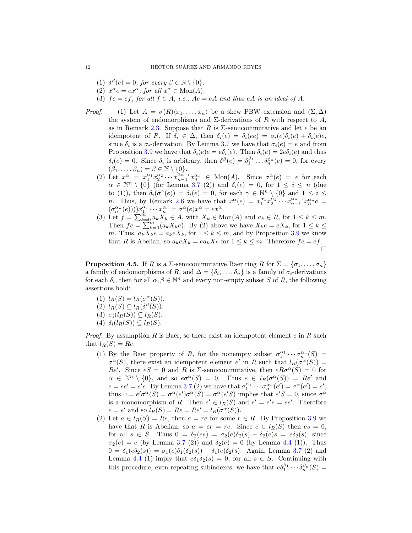- (1)  $\delta^{\beta}(e) = 0$ , for every  $\beta \in \mathbb{N} \setminus \{0\}.$
- (2)  $x^{\alpha}e = ex^{\alpha}$ , for all  $x^{\alpha} \in \text{Mon}(A)$ .
- (3)  $fe = ef$ , for all  $f \in A$ , *i.e.*,  $Ae = eA$  and thus eA *is an ideal of* A.
- *Proof.* (1) Let  $A = \sigma(R)\langle x_1, \ldots, x_n \rangle$  be a skew PBW extension and  $(\Sigma, \Delta)$ the system of endomorphisms and  $\Sigma$ -derivations of R with respect to A, as in Remark [2.3.](#page-3-0) Suppose that R is  $\Sigma$ -semicommutative and let e be an idempotent of R. If  $\delta_i \in \Delta$ , then  $\delta_i(e) = \delta_i(e) = \sigma_i(e)\delta_i(e) + \delta_i(e)e$ , since  $\delta_i$  is a  $\sigma_i$ -derivation. By Lemma [3.7](#page-7-0) we have that  $\sigma_i(e) = e$  and from Proposition [3.9](#page-8-1) we have that  $\delta_i(e)e = e\delta_i(e)$ . Then  $\delta_i(e) = 2e\delta_i(e)$  and thus  $\delta_i(e) = 0$ . Since  $\delta_i$  is arbitrary, then  $\delta^{\beta}(e) = \delta_1^{\beta_1} \dots \delta_n^{\beta_n}(e) = 0$ , for every  $(\beta_1, \ldots, \beta_n) = \beta \in \mathbb{N} \setminus \{0\}.$ 
	- (2) Let  $x^{\alpha} = x_1^{\alpha_1} x_2^{\alpha_2} \cdots x_{n-1}^{\alpha_{n-1}} x_n^{\alpha_n} \in \text{Mon}(A)$ . Since  $\sigma^{\alpha}(e) = e$  for each  $\alpha \in \mathbb{N}^n \setminus \{0\}$  (for Lemma [3.7](#page-7-0) (2)) and  $\delta_i(e) = 0$ , for  $1 \leq i \leq n$  (due to (1)), then  $\delta_i(\sigma^{\gamma}(e)) = \delta_i(e) = 0$ , for each  $\gamma \in \mathbb{N}^n \setminus \{0\}$  and  $1 \leq i \leq$ *n*. Thus, by Remark [2.6](#page-3-1) we have that  $x^{\alpha}(e) = x_1^{\alpha_1} x_2^{\alpha_2} \cdots x_{n-1}^{\alpha_{n-1}} x_n^{\alpha_n} e =$  $(\sigma_n^{\alpha_n}(e)))x_1^{\alpha_1}\cdots x_n^{\alpha_n} = \sigma^{\alpha}(e)x^{\alpha} = ex^{\alpha}.$
	- (3) Let  $f = \sum_{k=0}^{m} a_k X_k \in A$ , with  $X_k \in \text{Mon}(A)$  and  $a_k \in R$ , for  $1 \leq k \leq m$ . Then  $fe = \sum_{k=0}^{n} (a_k X_k e)$ . By (2) above we have  $X_k e = e X_k$ , for  $1 \leq k \leq$ m. Thus,  $a_k X_k e = a_k e X_k$ , for  $1 \le k \le m$ , and by Proposition [3.9](#page-8-1) we know that R is Abelian, so  $a_k e X_k = e a_k X_k$  for  $1 \leq k \leq m$ . Therefore  $fe = ef$ .  $\Box$

<span id="page-11-0"></span>**Proposition 4.5.** If R is a  $\Sigma$ -semicommutative Baer ring R for  $\Sigma = {\sigma_1, \ldots, \sigma_n}$ a family of endomorphisms of R, and  $\Delta = \{\delta_i, \ldots, \delta_n\}$  is a family of  $\sigma_i$ -derivations for each  $\delta_i$ , then for all  $\alpha, \beta \in \mathbb{N}^n$  and every non-empty subset S of R, the following assertions hold:

- (1)  $l_R(S) = l_R(\sigma^{\alpha}(S)).$
- (2)  $l_R(S) \subseteq l_R(\delta^{\beta}(S)).$
- (3)  $\sigma_i(l_R(S)) \subseteq l_R(S)$ .
- (4)  $\delta_i(l_R(S)) \subseteq l_R(S)$ .

*Proof.* By assumption R is Baer, so there exist an idempotent element  $e$  in R such that  $l_R(S) = Re$ .

- (1) By the Baer property of R, for the nonempty subset  $\sigma_1^{\alpha_1} \cdots \sigma_n^{\alpha_n}(S) =$  $\sigma^{\alpha}(S)$ , there exist an idempotent element e' in R such that  $l_R(\sigma^{\alpha}(S))$  = Re'. Since  $eS = 0$  and R is  $\Sigma$ -semicommutative, then  $eR\sigma^{\alpha}(S) = 0$  for  $\alpha \in \mathbb{N}^n \setminus \{0\}$ , and so  $e\sigma^{\alpha}(S) = 0$ . Thus  $e \in l_R(\sigma^{\alpha}(S)) = Re'$  and  $e = ee' = e'e$ . By Lemma [3.7](#page-7-0) (2) we have that  $\sigma_1^{\alpha_1} \cdots \sigma_n^{\alpha_n}(e') = \sigma^{\alpha}(e') = e'$ , thus  $0 = e' \sigma^{\alpha}(S) = \sigma^{\alpha}(e') \sigma^{\alpha}(S) = \sigma^{\alpha}(e'S)$  implies that  $e'S = 0$ , since  $\sigma^{\alpha}$ is a monomorphism of R. Then  $e' \in l_R(S)$  and  $e' = e'e = ee'$ . Therefore  $e = e'$  and so  $l_R(S) = Re = Re' = l_R(\sigma^{\alpha}(S)).$
- (2) Let  $a \in l_R(S) = Re$ , then  $a = re$  for some  $r \in R$ . By Proposition [3.9](#page-8-1) we have that R is Abelian, so  $a = er = re$ . Since  $e \in l_R(S)$  then  $es = 0$ , for all  $s \in S$ . Thus  $0 = \delta_2(e_s) = \sigma_2(e)\delta_2(s) + \delta_2(e)s = e\delta_2(s)$ , since  $\sigma_2(e) = e$  (by Lemma [3.7](#page-7-0) (2)) and  $\delta_2(e) = 0$  (by Lemma [4.4](#page-10-1) (1)). Thus  $0 = \delta_1(e\delta_2(s)) = \sigma_1(e)\delta_1(\delta_2(s)) + \delta_1(e)\delta_2(s)$ . Again, Lemma [3.7](#page-7-0) (2) and Lemma [4.4](#page-10-1) (1) imply that  $e\delta_1\delta_2(s) = 0$ , for all  $s \in S$ . Continuing with this procedure, even repeating subindexes, we have that  $e\delta_1^{\beta_1}\cdots\delta_n^{\beta_n}(S)$  =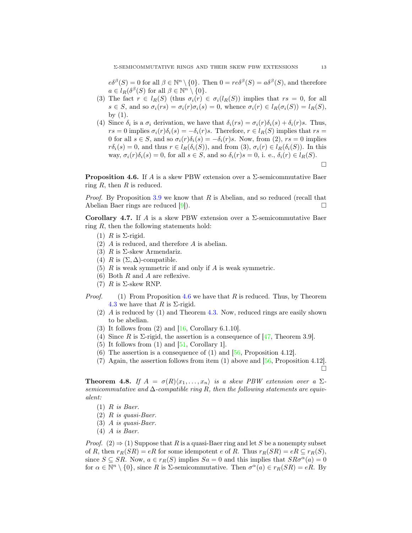$e\delta^{\beta}(S) = 0$  for all  $\beta \in \mathbb{N}^n \setminus \{0\}$ . Then  $0 = re\delta^{\beta}(S) = a\delta^{\beta}(S)$ , and therefore  $a \in l_R(\delta^{\beta}(S) \text{ for all } \beta \in \mathbb{N}^n \setminus \{0\}.$ 

- (3) The fact  $r \in l_R(S)$  (thus  $\sigma_i(r) \in \sigma_i(l_R(S))$  implies that  $rs = 0$ , for all  $s \in S$ , and so  $\sigma_i(rs) = \sigma_i(r)\sigma_i(s) = 0$ , whence  $\sigma_i(r) \in l_R(\sigma_i(S)) = l_R(S)$ , by  $(1)$ .
- (4) Since  $\delta_i$  is a  $\sigma_i$  derivation, we have that  $\delta_i(rs) = \sigma_i(r)\delta_i(s) + \delta_i(r)s$ . Thus,  $rs = 0$  implies  $\sigma_i(r)\delta_i(s) = -\delta_i(r)s$ . Therefore,  $r \in l_R(S)$  implies that  $rs =$ 0 for all  $s \in S$ , and so  $\sigma_i(r)\delta_i(s) = -\delta_i(r)s$ . Now, from (2),  $rs = 0$  implies  $r\delta_i(s) = 0$ , and thus  $r \in l_R(\delta_i(S))$ , and from  $(3), \sigma_i(r) \in l_R(\delta_i(S))$ . In this way,  $\sigma_i(r)\delta_i(s) = 0$ , for all  $s \in S$ , and so  $\delta_i(r)s = 0$ , i. e.,  $\delta_i(r) \in l_R(S)$ .  $\Box$

<span id="page-12-2"></span>**Proposition 4.6.** If A is a skew PBW extension over a  $\Sigma$ -semicommutative Baer ring  $R$ , then  $R$  is reduced.

*Proof.* By Proposition [3.9](#page-8-1) we know that R is Abelian, and so reduced (recall that Abelian Baer rings are reduced [\[9\]](#page-17-7)).

<span id="page-12-1"></span>Corollary 4.7. If A is a skew PBW extension over a  $\Sigma$ -semicommutative Baer ring  $R$ , then the following statements hold:

- (1)  $R$  is  $\Sigma$ -rigid.
- (2) A is reduced, and therefore A is abelian.
- (3) R is  $\Sigma$ -skew Armendariz.
- (4) R is  $(\Sigma, \Delta)$ -compatible.
- $(5)$  R is weak symmetric if and only if A is weak symmetric.
- (6) Both R and A are reflexive.
- (7)  $R$  is  $\Sigma$ -skew RNP.
- *Proof.* (1) From Proposition [4.6](#page-12-2) we have that R is reduced. Thus, by Theorem [4.3](#page-10-0) we have that R is  $\Sigma$ -rigid.
	- (2) A is reduced by (1) and Theorem [4.3.](#page-10-0) Now, reduced rings are easily shown to be abelian.
	- $(3)$  It follows from  $(2)$  and  $[16, Corollary 6.1.10]$ .
	- (4) Since R is  $\Sigma$ -rigid, the assertion is a consequence of [\[47,](#page-19-10) Theorem 3.9].
	- $(5)$  It follows from  $(1)$  and  $[51, Corollary 1]$ .
	- (6) The assertion is a consequence of  $(1)$  and  $[56,$  Proposition 4.12].
	- (7) Again, the assertion follows from item (1) above and  $[56,$  Proposition 4.12.  $\Box$

<span id="page-12-0"></span>**Theorem 4.8.** If  $A = \sigma(R)\langle x_1, \ldots, x_n \rangle$  is a skew PBW extension over a  $\Sigma$ *semicommutative and* ∆*-compatible ring* R*, then the following statements are equivalent:*

- (1) R *is Baer.*
- (2) R *is quasi-Baer.*
- (3) A *is quasi-Baer.*
- (4) A *is Baer.*

*Proof.* (2)  $\Rightarrow$  (1) Suppose that R is a quasi-Baer ring and let S be a nonempty subset of R, then  $r_R(SR) = eR$  for some idempotent e of R. Thus  $r_R(SR) = eR \subseteq r_R(S)$ , since  $S \subseteq SR$ . Now,  $a \in r_R(S)$  implies  $Sa = 0$  and this implies that  $SR\sigma^{\alpha}(a) = 0$ for  $\alpha \in \mathbb{N}^n \setminus \{0\}$ , since R is  $\Sigma$ -semicommutative. Then  $\sigma^{\alpha}(a) \in r_R(SR) = eR$ . By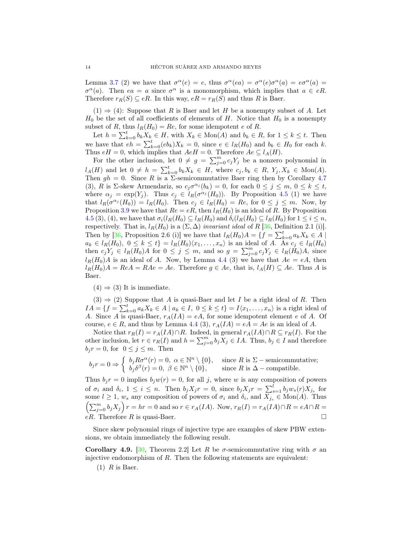Lemma [3.7](#page-7-0) (2) we have that  $\sigma^{\alpha}(e) = e$ , thus  $\sigma^{\alpha}(ea) = \sigma^{\alpha}(e)\sigma^{\alpha}(a) = e\sigma^{\alpha}(a) =$  $\sigma^{\alpha}(a)$ . Then  $ea = a$  since  $\sigma^{\alpha}$  is a monomorphism, which implies that  $a \in eR$ . Therefore  $r_R(S) \subseteq eR$ . In this way,  $eR = r_R(S)$  and thus R is Baer.

 $(1) \Rightarrow (4)$ : Suppose that R is Baer and let H be a nonempty subset of A. Let  $H_0$  be the set of all coefficients of elements of H. Notice that  $H_0$  is a nonempty subset of R, thus  $l_R(H_0) = Re$ , for some idempotent e of R.

Let  $h = \sum_{k=0}^{t} b_k X_k \in H$ , with  $X_k \in \text{Mon}(A)$  and  $b_k \in R$ , for  $1 \leq k \leq t$ . Then we have that  $eh = \sum_{k=0}^{t} (eb_k)X_k = 0$ , since  $e \in l_R(H_0)$  and  $b_k \in H_0$  for each k. Thus  $eH = 0$ , which implies that  $AeH = 0$ . Therefore  $Ae \subseteq l_A(H)$ .

For the other inclusion, let  $0 \neq g = \sum_{j=0}^{m} c_j Y_j$  be a nonzero polynomial in  $l_A(H)$  and let  $0 \neq h = \sum_{k=0}^t b_k X_k \in H$ , where  $c_j, b_k \in R$ ,  $Y_j, X_k \in \text{Mon}(A)$ . Then  $gh = 0$ . Since R is a  $\Sigma$ -semicommutative Baer ring then by Corollary [4.7](#page-12-1) (3), R is  $\Sigma$ -skew Armendariz, so  $c_j \sigma^{\alpha_j}(b_k) = 0$ , for each  $0 \le j \le m$ ,  $0 \le k \le t$ , where  $\alpha_j = \exp(Y_j)$ . Thus  $c_j \in l_R(\sigma^{\alpha_j}(H_0))$ . By Proposition [4.5](#page-11-0) (1) we have that  $l_R(\sigma^{\alpha_j}(H_0)) = l_R(H_0)$ . Then  $c_j \in l_R(H_0) = Re$ , for  $0 \le j \le m$ . Now, by Proposition [3.9](#page-8-1) we have that  $Re = eR$ , then  $l_R(H_0)$  is an ideal of R. By Proposition [4.5](#page-11-0) (3), (4), we have that  $\sigma_i(l_R(H_0) \subseteq l_R(H_0)$  and  $\delta_i(l_R(H_0) \subseteq l_R(H_0)$  for  $1 \leq i \leq n$ , respectively. That is,  $l_R(H_0)$  is a  $(\Sigma, \Delta)$  *invariant ideal* of R [\[36,](#page-18-20) Definition 2.1 (i)]. Then by [\[36,](#page-18-20) Proposition 2.6 (i)] we have that  $l_R(H_0)A = \{f = \sum_{k=0}^t a_k X_k \in A \mid$  $a_k \in l_R(H_0), 0 \leq k \leq t$  =  $l_R(H_0)(x_1, \ldots, x_n)$  is an ideal of A. As  $c_j \in l_R(H_0)$ then  $c_j Y_j \in l_R(H_0)A$  for  $0 \leq j \leq m$ , and so  $g = \sum_{j=0}^m c_j Y_j \in l_R(H_0)A$ , since  $l_R(H_0)A$  is an ideal of A. Now, by Lemma [4.4](#page-10-1) (3) we have that  $Ae = eA$ , then  $l_R(H_0)A = ReA = RAe = Ae$ . Therefore  $g \in Ae$ , that is,  $l_A(H) \subseteq Ae$ . Thus A is Baer.

 $(4) \Rightarrow (3)$  It is immediate.

 $(3) \Rightarrow (2)$  Suppose that A is quasi-Baer and let I be a right ideal of R. Then  $IA = \{f = \sum_{k=0}^{t} a_k X_k \in A \mid a_k \in I, 0 \le k \le t\} = I \langle x_1, \ldots, x_n \rangle$  is a right ideal of A. Since A is quasi-Baer,  $r_A(IA) = eA$ , for some idempotent element e of A. Of course,  $e \in R$ , and thus by Lemma [4.4](#page-10-1) (3),  $r_A(IA) = eA = Ae$  is an ideal of A.

Notice that  $r_R(I) = r_A(IA) \cap R$ . Indeed, in general  $r_A(IA) \cap R \subseteq r_R(I)$ . For the other inclusion, let  $r \in r_R(I)$  and  $h = \sum_{j=0}^m b_j X_j \in IA$ . Thus,  $b_j \in I$  and therefore  $b_j r = 0$ , for  $0 \leq j \leq m$ . Then

$$
b_j r = 0 \Rightarrow \begin{cases} b_j R \sigma^{\alpha}(r) = 0, & \alpha \in \mathbb{N}^n \setminus \{0\}, \\ b_j \delta^{\beta}(r) = 0, & \beta \in \mathbb{N}^n \setminus \{0\}, \end{cases} \text{ since } R \text{ is } \Sigma \text{ - semicommutative;}
$$

Thus  $b_j r = 0$  implies  $b_j w(r) = 0$ , for all j, where w is any composition of powers of  $\sigma_i$  and  $\delta_i$ ,  $1 \leq i \leq n$ . Then  $b_j X_j r = 0$ , since  $b_j X_j r = \sum_{s=1}^l b_j w_s(r) X_{j_s}$  for some  $l \geq 1$ ,  $w_s$  any composition of powers of  $\sigma_i$  and  $\delta_i$ , and  $X_{j_s} \in \text{Mon}(A)$ . Thus  $\left(\sum_{j=0}^m b_j X_j\right) r = hr = 0$  and so  $r \in r_A(IA)$ . Now,  $r_R(I) = r_A(IA) \cap R = eA \cap R =$  $eR$ . Therefore R is quasi-Baer.

Since skew polynomial rings of injective type are examples of skew PBW extensions, we obtain immediately the following result.

Corollary 4.9. [\[30,](#page-18-25) Theorem 2.2] Let R be  $\sigma$ -semicommutative ring with  $\sigma$  and injective endomorphism of  $R$ . Then the following statements are equivalent:

 $(1)$  R is Baer.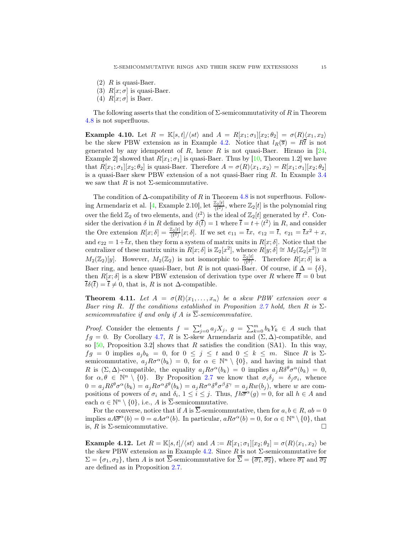- $(2)$  R is quasi-Baer.
- (3)  $R[x; \sigma]$  is quasi-Baer.
- (4)  $R[x; \sigma]$  is Baer.

The following asserts that the condition of  $\Sigma$ -semicommutativity of R in Theorem [4.8](#page-12-0) is not superfluous.

**Example 4.10.** Let  $R = \mathbb{K}[s,t]/\langle st \rangle$  and  $A = R[x_1;\sigma_1][x_2;\theta_2] = \sigma(R)\langle x_1, x_2 \rangle$ be the skew PBW extension as in Example [4.2.](#page-9-2) Notice that  $l_R(\overline{s}) = R\overline{t}$  is not generated by any idempotent of R, hence R is not quasi-Baer. Hirano in  $[24,$ Example 2 showed that  $R[x_1; \sigma_1]$  is quasi-Baer. Thus by [\[10,](#page-17-8) Theorem 1.2] we have that  $R[x_1;\sigma_1][x_2;\theta_2]$  is quasi-Baer. Therefore  $A = \sigma(R)\langle x_1, x_2 \rangle = R[x_1;\sigma_1][x_2;\theta_2]$ is a quasi-Baer skew PBW extension of a not quasi-Baer ring R. In Example [3.4](#page-6-1) we saw that R is not  $\Sigma$ -semicommutative.

The condition of  $\Delta$ -compatibility of R in Theorem [4.8](#page-12-0) is not superfluous. Follow-ing Armendariz et al. [\[4,](#page-17-9) Example 2.10], let  $\frac{\mathbb{Z}_2[t]}{\langle t^2 \rangle}$ , where  $\mathbb{Z}_2[t]$  is the polynomial ring over the field  $\mathbb{Z}_2$  of two elements, and  $\langle t^2 \rangle$  is the ideal of  $\mathbb{Z}_2[t]$  generated by  $t^2$ . Consider the derivation  $\delta$  in R defined by  $\delta(\bar{t}) = 1$  where  $\bar{t} = t + \langle t^2 \rangle$  in R, and consider the Ore extension  $R[x;\delta] = \frac{\mathbb{Z}_2[t]}{\langle t^2 \rangle}[x;\delta]$ . If we set  $e_{11} = \overline{t}x$ ,  $e_{12} = \overline{t}$ ,  $e_{21} = \overline{t}x^2 + x$ , and  $e_{22} = 1+\overline{t}x$ , then they form a system of matrix units in  $R[x; \delta]$ . Notice that the centralizer of these matrix units in  $R[x; \delta]$  is  $\mathbb{Z}_2[x^2]$ , whence  $R[y; \delta] \cong M_2(\mathbb{Z}_2[x^2]) \cong$  $M_2(\mathbb{Z}_2)[y]$ . However,  $M_2(\mathbb{Z}_2)$  is not isomorphic to  $\frac{\mathbb{Z}_2[t]}{\langle t^2 \rangle}$ . Therefore  $R[x;\delta]$  is a Baer ring, and hence quasi-Baer, but R is not quasi-Baer. Of course, if  $\Delta = {\delta}$ , then  $R[x; \delta]$  is a skew PBW extension of derivation type over R where  $\overline{t}\overline{t} = 0$  but  $\overline{t}\delta(\overline{t}) = \overline{t} \neq 0$ , that is, R is not  $\Delta$ -compatible.

<span id="page-14-0"></span>**Theorem 4.11.** Let  $A = \sigma(R)(x_1, \ldots, x_n)$  be a skew PBW extension over a *Baer ring* R*. If the conditions established in Proposition [2.7](#page-4-1) hold, then* R *is* Σ*semicommutative if and only if* A *is*  $\overline{\Sigma}$ *-semicommutative.* 

*Proof.* Consider the elements  $f = \sum_{j=0}^{t} a_j X_j$ ,  $g = \sum_{k=0}^{m} b_k Y_k \in A$  such that  $fg = 0$ . By Corollary [4.7,](#page-12-1) R is Σ-skew Armendariz and  $(\Sigma, \Delta)$ -compatible, and so  $[50,$  Proposition 3.2] shows that R satisfies the condition (SA1). In this way,  $fg = 0$  implies  $a_j b_k = 0$ , for  $0 \le j \le t$  and  $0 \le k \le m$ . Since R is  $\Sigma$ semicommutative,  $a_j R \sigma^{\alpha}(b_k) = 0$ , for  $\alpha \in \mathbb{N}^n \setminus \{0\}$ , and having in mind that R is  $(\Sigma, \Delta)$ -compatible, the equality  $a_j R \sigma^{\alpha}(b_k) = 0$  implies  $a_j R \delta^{\theta} \sigma^{\alpha}(b_k) = 0$ , for  $\alpha, \theta \in \mathbb{N}^n \setminus \{0\}$ . By Proposition [2.7](#page-4-1) we know that  $\sigma_i \delta_j = \delta_j \sigma_i$ , whence  $0 = a_j R \delta^{\theta} \sigma^{\alpha}(b_k) = a_j R \sigma^{\alpha} \delta^{\theta}(b_k) = a_j R \sigma^{\alpha} \delta^{\theta} \sigma^{\beta} \delta^{\gamma} = a_j R w(b_j)$ , where w are compositions of powers of  $\sigma_i$  and  $\delta_i$ ,  $1 \leq i \leq j$ . Thus,  $fh\overline{\sigma}^{\alpha}(g) = 0$ , for all  $h \in A$  and each  $\alpha \in \mathbb{N}^n \setminus \{0\}$ , i.e., A is  $\overline{\Sigma}$ -semicommutative.

For the converse, notice that if A is  $\overline{\Sigma}$ -semicommutative, then for  $a, b \in R$ ,  $ab = 0$ implies  $aA\overline{\sigma}^{\alpha}(b) = 0 = aA\sigma^{\alpha}(b)$ . In particular,  $aR\sigma^{\alpha}(b) = 0$ , for  $\alpha \in \mathbb{N}^n \setminus \{0\}$ , that is,  $R$  is  $\Sigma$ -semicommutative.

**Example 4.12.** Let  $R = \mathbb{K}[s,t]/\langle st \rangle$  and  $A := R[x_1;\sigma_1][x_2;\theta_2] = \sigma(R)\langle x_1, x_2 \rangle$  be the skew PBW extension as in Example [4.2.](#page-9-2) Since  $R$  is not  $\Sigma$ -semicommutative for  $\Sigma = {\sigma_1, \sigma_2}$ , then A is not  $\Sigma$ -semicommutative for  $\Sigma = {\overline{\sigma_1}, \overline{\sigma_2}}$ , where  $\overline{\sigma_1}$  and  $\overline{\sigma_2}$ are defined as in Proposition [2.7.](#page-4-1)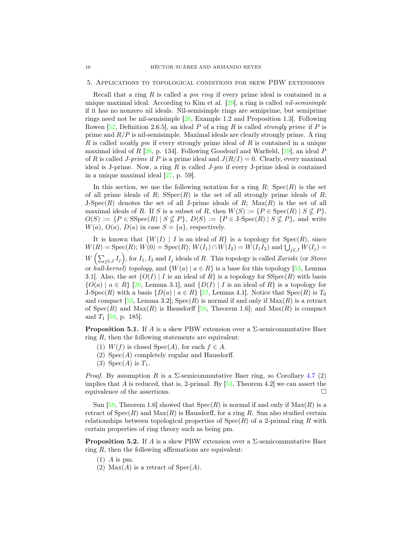#### 5. Applications to topological conditions for skew PBW extensions

Recall that a ring R is called a *pm ring* if every prime ideal is contained in a unique maximal ideal. According to Kim et al. [\[29\]](#page-18-30), a ring is called *nil-semisimple* if it has no nonzero nil ideals. Nil-semisimple rings are semiprime, but semiprime rings need not be nil-semisimple [\[26,](#page-18-3) Example 1.2 and Proposition 1.3]. Following Rowen [\[52,](#page-19-16) Definition 2.6.5], an ideal P of a ring R is called *strongly prime* if P is prime and  $R/P$  is nil-semisimple. Maximal ideals are clearly strongly prime. A ring R is called *weakly pm* if every strongly prime ideal of R is contained in a unique maximal ideal of R [\[26,](#page-18-3) p. 134]. Following Goodearl and Warfield, [\[19\]](#page-18-31), an ideal P of R is called *J-prime* if P is a prime ideal and  $J(R/I) = 0$ . Clearly, every maximal ideal is J-prime. Now, a ring R is called *J-pm* if every J-prime ideal is contained in a unique maximal ideal [\[27,](#page-18-2) p. 59].

In this section, we use the following notation for a ring  $R: Spec(R)$  is the set of all prime ideals of R;  $SSpec(R)$  is the set of all strongly prime ideals of R; J-Spec(R) denotes the set of all J-prime ideals of R;  $Max(R)$  is the set of all maximal ideals of R. If S is a subset of R, then  $W(S) := \{ P \in \text{Spec}(R) \mid S \nsubseteq P \}$ ,  $O(S) := \{ P \in \text{SSpec}(R) \mid S \nsubseteq P \}, D(S) := \{ P \in J \text{-}Spec(R) \mid S \nsubseteq P \}, \text{ and write}$  $W(a)$ ,  $O(a)$ ,  $D(a)$  in case  $S = \{a\}$ , respectively.

It is known that  $\{W(I) \mid I$  is an ideal of  $R\}$  is a topology for  $Spec(R)$ , since  $W(R) = \text{Spec}(R); W(0) = \text{Spec}(R); W(I_1) \cap W(I_2) = W(I_1 I_2)$  and  $\bigcup_{j \in J} W(I_j) =$  $W\left(\sum_{j\in J}I_j\right)$ , for  $I_1, I_2$  and  $I_j$  ideals of R. This topology is called *Zariski* (or *Stone* or *hull-kernel*) *topology*, and  $\{W(a) | a \in R\}$  is a base for this topology [\[53,](#page-19-1) Lemma 3.1]. Also, the set  $\{O(I) | I$  is an ideal of R is a topology for SSpec $(R)$  with basis  ${O(a) | a \in R}$  [\[26,](#page-18-3) Lemma 3.1], and  ${D(I) | I$  is an ideal of R} is a topology for J-Spec(R) with a basis  $\{D(a) | a \in R\}$  [\[27,](#page-18-2) Lemma 4.1]. Notice that  $Spec(R)$  is  $T_0$ and compact [\[53,](#page-19-1) Lemma 3.2];  $Spec(R)$  is normal if and only if  $Max(R)$  is a retract of  $Spec(R)$  and  $Max(R)$  is Hausdorff [\[58,](#page-19-0) Theorem 1.6]; and  $Max(R)$  is compact and  $T_1$  [\[58,](#page-19-0) p. 185].

<span id="page-15-0"></span>**Proposition 5.1.** If A is a skew PBW extension over a  $\Sigma$ -semicommutative Baer ring  $R$ , then the following statements are equivalent:

- (1)  $W(f)$  is closed Spec $(A)$ , for each  $f \in A$ .
- (2)  $Spec(A)$  completely regular and Hausdorff.
- (3) Spec $(A)$  is  $T_1$ .

*Proof.* By assumption R is a  $\Sigma$ -semicommutative Baer ring, so Corollary [4.7](#page-12-1) (2) implies that A is reduced, that is, 2-primal. By  $[53,$  Theorem 4.2] we can assert the equivalence of the assertions.  $\Box$ 

Sun [\[58,](#page-19-0) Theorem 1.6] showed that  $Spec(R)$  is normal if and only if  $Max(R)$  is a retract of  $Spec(R)$  and  $Max(R)$  is Hausdorff, for a ring R. Sun also studied certain relationships between topological properties of  $Spec(R)$  of a 2-primal ring R with certain properties of ring theory such as being pm.

<span id="page-15-1"></span>**Proposition 5.2.** If A is a skew PBW extension over a  $\Sigma$ -semicommutative Baer ring  $R$ , then the following affirmations are equivalent:

- $(1)$  A is pm.
- (2) Max $(A)$  is a retract of Spec $(A)$ .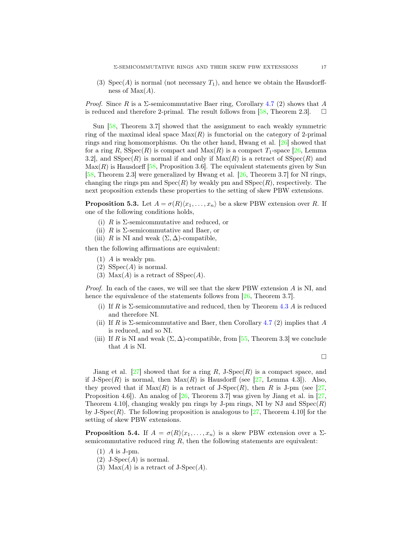(3)  $Spec(A)$  is normal (not necessary  $T_1$ ), and hence we obtain the Hausdorffness of  $Max(A)$ .

*Proof.* Since R is a  $\Sigma$ -semicommutative Baer ring, Corollary [4.7](#page-12-1) (2) shows that A is reduced and therefore 2-primal. The result follows from [\[58,](#page-19-0) Theorem 2.3].  $\square$ 

Sun [\[58,](#page-19-0) Theorem 3.7] showed that the assignment to each weakly symmetric ring of the maximal ideal space  $Max(R)$  is functorial on the category of 2-primal rings and ring homomorphisms. On the other hand, Hwang et al. [\[26\]](#page-18-3) showed that for a ring R,  $\text{SSpec}(R)$  is compact and  $\text{Max}(R)$  is a compact  $T_1$ -space [\[26,](#page-18-3) Lemma 3.2, and  $SSpec(R)$  is normal if and only if  $Max(R)$  is a retract of  $SSpec(R)$  and  $\text{Max}(R)$  is Hausdorff [\[58,](#page-19-0) Proposition 3.6]. The equivalent statements given by Sun [\[58,](#page-19-0) Theorem 2.3] were generalized by Hwang et al. [\[26,](#page-18-3) Theorem 3.7] for NI rings, changing the rings pm and  $Spec(R)$  by weakly pm and  $Spec(R)$ , respectively. The next proposition extends these properties to the setting of skew PBW extensions.

<span id="page-16-0"></span>**Proposition 5.3.** Let  $A = \sigma(R)(x_1, \ldots, x_n)$  be a skew PBW extension over R. If one of the following conditions holds,

- (i) R is  $\Sigma$ -semicommutative and reduced, or
- (ii)  $R$  is  $\Sigma$ -semicommutative and Baer, or
- (iii) R is NI and weak  $(\Sigma, \Delta)$ -compatible,

then the following affirmations are equivalent:

- (1) A is weakly pm.
- (2)  $SSpec(A)$  is normal.
- (3) Max(A) is a retract of  $SSpec(A)$ .

*Proof.* In each of the cases, we will see that the skew PBW extension A is NI, and hence the equivalence of the statements follows from  $[26,$  Theorem 3.7].

- (i) If R is  $\Sigma$ -semicommutative and reduced, then by Theorem [4.3](#page-10-0) A is reduced and therefore NI.
- (ii) If R is  $\Sigma$ -semicommutative and Baer, then Corollary [4.7](#page-12-1) (2) implies that A is reduced, and so NI.
- (iii) If R is NI and weak  $(\Sigma, \Delta)$ -compatible, from [\[55,](#page-19-6) Theorem 3.3] we conclude that A is NI.

 $\Box$ 

Jiang et al.  $[27]$  showed that for a ring R, J-Spec $(R)$  is a compact space, and if J-Spec $(R)$  is normal, then  $Max(R)$  is Hausdorff (see [\[27,](#page-18-2) Lemma 4.3]). Also, they proved that if  $Max(R)$  is a retract of J-Spec $(R)$ , then R is J-pm (see [\[27,](#page-18-2) Proposition 4.6]). An analog of  $[26,$  Theorem 3.7] was given by Jiang et al. in [\[27,](#page-18-2) Theorem 4.10, changing weakly pm rings by J-pm rings, NI by NJ and  $SSpec(R)$ by J-Spec $(R)$ . The following proposition is analogous to [\[27,](#page-18-2) Theorem 4.10] for the setting of skew PBW extensions.

<span id="page-16-1"></span>**Proposition 5.4.** If  $A = \sigma(R)(x_1, \ldots, x_n)$  is a skew PBW extension over a  $\Sigma$ semicommutative reduced ring  $R$ , then the following statements are equivalent:

- $(1)$  A is J-pm.
- $(2)$  J-Spec $(A)$  is normal.
- (3) Max $(A)$  is a retract of J-Spec $(A)$ .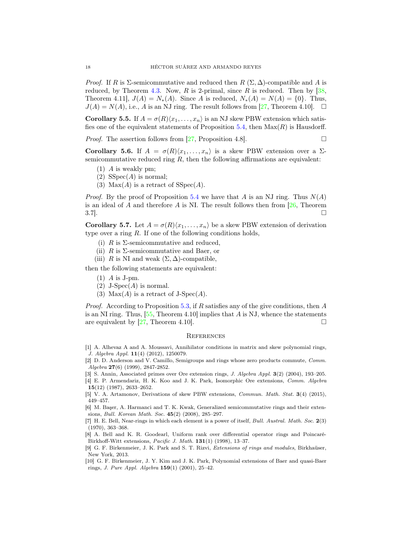*Proof.* If R is  $\Sigma$ -semicommutative and reduced then  $R(\Sigma, \Delta)$ -compatible and A is reduced, by Theorem [4.3.](#page-10-0) Now,  $R$  is 2-primal, since  $R$  is reduced. Then by [\[38,](#page-18-19) Theorem 4.11],  $J(A) = N_*(A)$ . Since A is reduced,  $N_*(A) = N(A) = \{0\}$ . Thus,  $J(A) = N(A)$ , i.e., A is an NJ ring. The result follows from [\[27,](#page-18-2) Theorem 4.10].  $\Box$ 

Corollary 5.5. If  $A = \sigma(R)(x_1, \ldots, x_n)$  is an NJ skew PBW extension which satis-fies one of the equivalent statements of Proposition [5.4,](#page-16-1) then  $Max(R)$  is Hausdorff.

*Proof.* The assertion follows from [\[27,](#page-18-2) Proposition 4.8].

Corollary 5.6. If  $A = \sigma(R)(x_1, \ldots, x_n)$  is a skew PBW extension over a  $\Sigma$ semicommutative reduced ring  $R$ , then the following affirmations are equivalent:

- (1) A is weakly pm;
- (2)  $SSpec(A)$  is normal;
- (3) Max $(A)$  is a retract of SSpec $(A)$ .

*Proof.* By the proof of Proposition [5.4](#page-16-1) we have that A is an NJ ring. Thus  $N(A)$ is an ideal of  $A$  and therefore  $A$  is NI. The result follows then from [\[26,](#page-18-3) Theorem  $3.7$ ].

**Corollary 5.7.** Let  $A = \sigma(R)(x_1, \ldots, x_n)$  be a skew PBW extension of derivation type over a ring  $R$ . If one of the following conditions holds,

- (i) R is  $\Sigma$ -semicommutative and reduced,
- (ii) R is  $\Sigma$ -semicommutative and Baer, or
- (iii) R is NI and weak  $(\Sigma, \Delta)$ -compatible,

then the following statements are equivalent:

- $(1)$  A is J-pm.
- $(2)$  J-Spec $(A)$  is normal.
- (3)  $Max(A)$  is a retract of J-Spec $(A)$ .

*Proof.* According to Proposition [5.3,](#page-16-0) if R satisfies any of the give conditions, then A is an NI ring. Thus,  $[55,$  Theorem 4.10 implies that A is NJ, whence the statements are equivalent by  $[27,$  Theorem 4.10].

# **REFERENCES**

- <span id="page-17-6"></span>[1] A. Alhevaz A and A. Moussavi, Annihilator conditions in matrix and skew polynomial rings, J. Algebra Appl. 11(4) (2012), 1250079.
- <span id="page-17-1"></span>[2] D. D. Anderson and V. Camillo, Semigroups and rings whose zero products commute, Comm. Algebra 27(6) (1999), 2847-2852.
- <span id="page-17-9"></span><span id="page-17-5"></span>[3] S. Annin, Associated primes over Ore extension rings, J. Algebra Appl. 3(2) (2004), 193–205.
- [4] E. P. Armendariz, H. K. Koo and J. K. Park, Isomorphic Ore extensions, Comm. Algebra 15(12) (1987), 2633–2652.

<span id="page-17-2"></span>[6] M. Başer, A. Harmanci and T. K. Kwak, Generalized semicommutative rings and their extensions, Bull. Korean Math. Soc. 45(2) (2008), 285–297.

<span id="page-17-8"></span>[10] G. F. Birkenmeier, J. Y. Kim and J. K. Park, Polynomial extensions of Baer and quasi-Baer rings, *J. Pure Appl. Algebra*  $159(1)$  (2001), 25–42.

<span id="page-17-4"></span><sup>[5]</sup> V. A. Artamonov, Derivations of skew PBW extensions, Commun. Math. Stat. 3(4) (2015), 449–457.

<span id="page-17-0"></span><sup>[7]</sup> H. E. Bell, Near-rings in which each element is a power of itself, Bull. Austral. Math. Soc. 2(3) (1970), 363–368.

<span id="page-17-3"></span><sup>[8]</sup> A. Bell and K. R. Goodearl, Uniform rank over differential operator rings and Poincaré-Birkhoff-Witt extensions, Pacific J. Math. 131(1) (1998), 13–37.

<span id="page-17-7"></span><sup>[9]</sup> G. F. Birkenmeier, J. K. Park and S. T. Rizvi, Extensions of rings and modules, Birkhaüser, New York, 2013.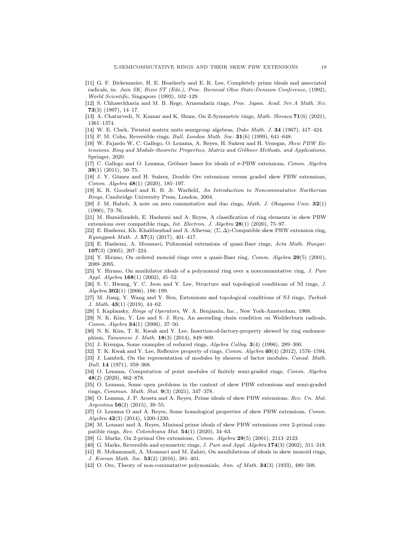- <span id="page-18-1"></span>[11] G. F. Birkenmeier, H. E. Heatherly and E. K. Lee, Completely prime ideals and associated radicals, in: Jain SK, Rizvi ST (Eds.), Proc. Biennial Ohio State-Denison Conference, (1992), World Scientific, Singapore (1993), 102–129.
- <span id="page-18-28"></span>[12] S. Chhawchharia and M. B. Rege, Armendariz rings, Proc. Japan. Acad. Ser.A Math. Sci. 73(3) (1997), 14–17.
- <span id="page-18-11"></span><span id="page-18-7"></span>[13] A. Chaturvedi, N. Kumar and K. Shum, On Z-Symmetric rings, Math. Slovaca 71(6) (2021), 1361–1374.
- <span id="page-18-6"></span>[14] W. E. Clark, Twisted matrix units semigroup algebras, Duke Math. J. 34 (1967), 417–424.
- <span id="page-18-15"></span>[15] P. M. Cohn, Reversible rings, *Bull. London Math. Soc.* **31**(6) (1999), 641-648.
- [16] W. Fajardo W, C. Gallego, O. Lezama, A. Reyes, H. Suárez and H. Venegas, Skew PBW Extensions. Ring and Module-theoretic Properties, Matrix and Gröbner Methods, and Applications, Springer, 2020.
- <span id="page-18-13"></span>[17] C. Gallego and O. Lezama, Gröbner bases for ideals of σ-PBW extensions, Comm. Algebra 39(1) (2011), 50–75.
- <span id="page-18-21"></span>[18] J. Y. Gómez and H. Suárez, Double Ore extensions versus graded skew PBW extensions, Comm. Algebra 48(1) (2020), 185–197.
- <span id="page-18-31"></span>[19] K. R. Goodearl and R. B. Jr. Warfield, An Introduction to Noncommutative Noetherian Rings, Cambridge University Press, London, 2004.
- <span id="page-18-5"></span>[20] J. M. Habeb, A note on zero commutative and duo rings, Math. J. Okayama Univ. 32(1) (1990), 73–76.
- <span id="page-18-16"></span>[21] M. Hamidizadeh, E. Hashemi and A. Reyes, A classification of ring elements in skew PBW extensions over compatible rings, Int. Electron. J. Algebra 28(1) (2020), 75–97.
- <span id="page-18-17"></span>[22] E. Hashemi, Kh. Khalilnezhad and A. Alhevaz,  $(\Sigma, \Delta)$ -Compatible skew PBW extension ring, Kyungpook Math. J. 57(3) (2017), 401–417.
- <span id="page-18-24"></span>[23] E. Hashemi, A. Moussavi, Polinomial extensions of quasi-Baer rings, Acta Math. Hungar. 107(3) (2005), 207–224.
- <span id="page-18-29"></span><span id="page-18-27"></span>[24] Y. Hirano, On ordered monoid rings over a quasi-Baer ring, *Comm. Algebra* 29(5) (2001), 2089–2095.
- [25] Y. Hirano, On annihilator ideals of a polynomial ring over a noncommutative ring, J. Pure Appl. Algebra 168(1) (2002), 45–52.
- <span id="page-18-3"></span>[26] S. U. Hwang, Y. C. Jeon and Y. Lee, Structure and topological conditions of NI rings, J. Algebra 302(1) (2006), 186–199.
- <span id="page-18-2"></span>[27] M. Jiang, Y. Wang and Y. Ren, Extensions and topological conditions of NJ rings, Turkish J. Math. 43(1) (2019), 44–62.
- <span id="page-18-30"></span><span id="page-18-10"></span>[28] I. Kaplansky, Rings of Operators, W. A. Benjamin, Inc., New York-Amsterdam, 1968.
- [29] N. K. Kim, Y. Lee and S. J. Ryu, An ascending chain condition on Wedderburn radicals, Comm. Algebra 34(1) (2006), 37–50.
- <span id="page-18-25"></span>[30] N. K. Kim, T. K. Kwak and Y. Lee, Insertion-of-factory-property skewed by ring endomorphism, Taiwanese J. Math. 18(3) (2014), 849–869.
- <span id="page-18-12"></span><span id="page-18-9"></span>[31] J. Krempa, Some examples of reduced rings, Algebra Colloq. 3(4) (1996), 289–300.
- <span id="page-18-4"></span>[32] T. K. Kwak and Y. Lee, Reflexive property of rings, Comm. Algebra 40(4) (2012), 1576–1594.
- [33] J. Lambek, On the representation of modules by sheaves of factor modules, Canad. Math. Bull. 14 (1971), 359–368.
- <span id="page-18-18"></span>[34] O. Lezama, Computation of point modules of finitely semi-graded rings, Comm. Algebra 48(2) (2020), 862–878.
- <span id="page-18-22"></span>[35] O. Lezama, Some open problems in the context of skew PBW extensions and semi-graded rings, Commun. Math. Stat. 9(3) (2021), 347–378.
- <span id="page-18-20"></span>[36] O. Lezama, J. P. Acosta and A. Reyes, Prime ideals of skew PBW extensions, Rev. Un. Mat. Argentina 56(2) (2015), 39–55.
- <span id="page-18-23"></span>[37] O. Lezama O and A. Reyes, Some homological properties of skew PBW extensions, Comm. Algebra 42(3) (2014), 1200-1230.
- <span id="page-18-19"></span>[38] M. Louzari and A. Reyes, Minimal prime ideals of skew PBW extensions over 2-primal compatible rings, Rev. Colombiana Mat. 54(1) (2020), 34–63.
- <span id="page-18-8"></span><span id="page-18-0"></span>[39] G. Marks, On 2-primal Ore extensions, Comm. Algebra 29(5) (2001), 2113–2123.
- <span id="page-18-26"></span>[40] G. Marks, Reversible and symmetric rings, J. Pure and Appl. Algebra 174(3) (2002), 311–318.
- [41] R. Mohammadi, A. Moussavi and M. Zahiri, On annihilations of ideals in skew monoid rings, J. Korean Math. Soc. 53(2) (2016), 381–401.
- <span id="page-18-14"></span>[42] O. Ore, Theory of non-commutative polynomials, Ann. of Math. 34(3) (1933), 480–508.